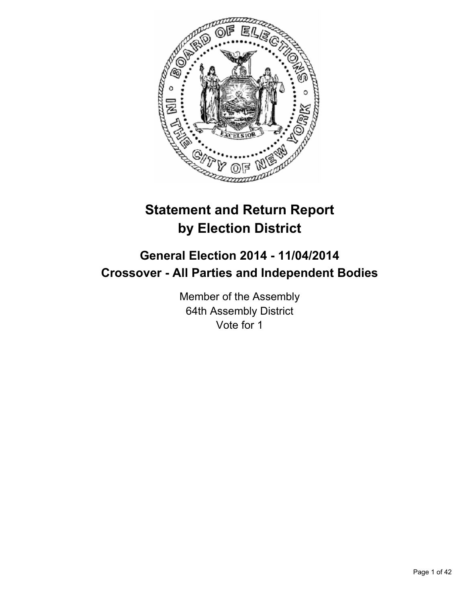

# **Statement and Return Report by Election District**

## **General Election 2014 - 11/04/2014 Crossover - All Parties and Independent Bodies**

Member of the Assembly 64th Assembly District Vote for 1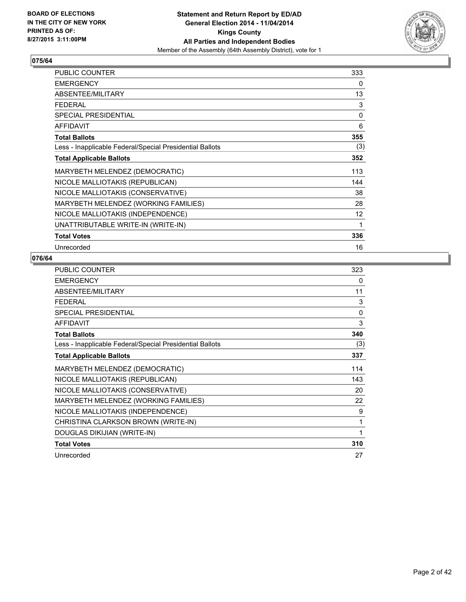

| <b>PUBLIC COUNTER</b>                                    | 333 |
|----------------------------------------------------------|-----|
| <b>EMERGENCY</b>                                         | 0   |
| ABSENTEE/MILITARY                                        | 13  |
| <b>FEDERAL</b>                                           | 3   |
| <b>SPECIAL PRESIDENTIAL</b>                              | 0   |
| AFFIDAVIT                                                | 6   |
| <b>Total Ballots</b>                                     | 355 |
| Less - Inapplicable Federal/Special Presidential Ballots | (3) |
| <b>Total Applicable Ballots</b>                          | 352 |
| MARYBETH MELENDEZ (DEMOCRATIC)                           | 113 |
| NICOLE MALLIOTAKIS (REPUBLICAN)                          | 144 |
| NICOLE MALLIOTAKIS (CONSERVATIVE)                        | 38  |
| MARYBETH MELENDEZ (WORKING FAMILIES)                     | 28  |
| NICOLE MALLIOTAKIS (INDEPENDENCE)                        | 12  |
| UNATTRIBUTABLE WRITE-IN (WRITE-IN)                       | 1   |
| <b>Total Votes</b>                                       | 336 |
| Unrecorded                                               | 16  |

| <b>PUBLIC COUNTER</b>                                    | 323          |
|----------------------------------------------------------|--------------|
| <b>EMERGENCY</b>                                         | 0            |
| ABSENTEE/MILITARY                                        | 11           |
| <b>FEDERAL</b>                                           | 3            |
| SPECIAL PRESIDENTIAL                                     | $\mathbf{0}$ |
| <b>AFFIDAVIT</b>                                         | 3            |
| <b>Total Ballots</b>                                     | 340          |
| Less - Inapplicable Federal/Special Presidential Ballots | (3)          |
| <b>Total Applicable Ballots</b>                          | 337          |
| MARYBETH MELENDEZ (DEMOCRATIC)                           | 114          |
| NICOLE MALLIOTAKIS (REPUBLICAN)                          | 143          |
| NICOLE MALLIOTAKIS (CONSERVATIVE)                        | 20           |
| MARYBETH MELENDEZ (WORKING FAMILIES)                     | 22           |
| NICOLE MALLIOTAKIS (INDEPENDENCE)                        | 9            |
| CHRISTINA CLARKSON BROWN (WRITE-IN)                      | 1            |
| DOUGLAS DIKIJIAN (WRITE-IN)                              | 1            |
| <b>Total Votes</b>                                       | 310          |
| Unrecorded                                               | 27           |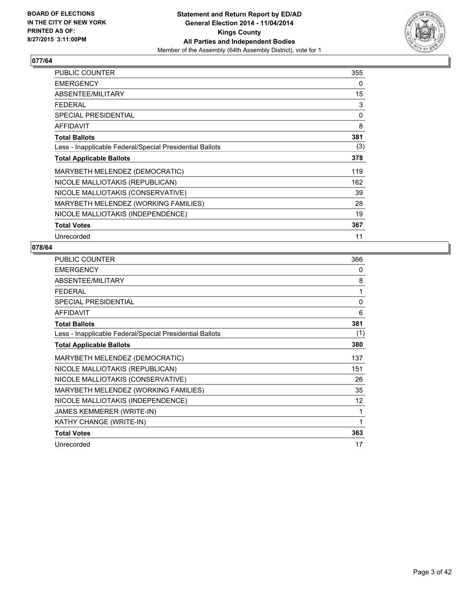

| <b>PUBLIC COUNTER</b>                                    | 355 |
|----------------------------------------------------------|-----|
| <b>EMERGENCY</b>                                         | 0   |
| ABSENTEE/MILITARY                                        | 15  |
| <b>FEDERAL</b>                                           | 3   |
| <b>SPECIAL PRESIDENTIAL</b>                              | 0   |
| AFFIDAVIT                                                | 8   |
| <b>Total Ballots</b>                                     | 381 |
| Less - Inapplicable Federal/Special Presidential Ballots | (3) |
| <b>Total Applicable Ballots</b>                          | 378 |
| MARYBETH MELENDEZ (DEMOCRATIC)                           | 119 |
| NICOLE MALLIOTAKIS (REPUBLICAN)                          | 162 |
| NICOLE MALLIOTAKIS (CONSERVATIVE)                        | 39  |
| MARYBETH MELENDEZ (WORKING FAMILIES)                     | 28  |
| NICOLE MALLIOTAKIS (INDEPENDENCE)                        | 19  |
| <b>Total Votes</b>                                       | 367 |
| Unrecorded                                               | 11  |

| <b>PUBLIC COUNTER</b>                                    | 366      |
|----------------------------------------------------------|----------|
| <b>EMERGENCY</b>                                         | 0        |
| ABSENTEE/MILITARY                                        | 8        |
| <b>FEDERAL</b>                                           | 1        |
| <b>SPECIAL PRESIDENTIAL</b>                              | $\Omega$ |
| <b>AFFIDAVIT</b>                                         | 6        |
| <b>Total Ballots</b>                                     | 381      |
| Less - Inapplicable Federal/Special Presidential Ballots | (1)      |
| <b>Total Applicable Ballots</b>                          | 380      |
| MARYBETH MELENDEZ (DEMOCRATIC)                           | 137      |
| NICOLE MALLIOTAKIS (REPUBLICAN)                          | 151      |
| NICOLE MALLIOTAKIS (CONSERVATIVE)                        | 26       |
| MARYBETH MELENDEZ (WORKING FAMILIES)                     | 35       |
| NICOLE MALLIOTAKIS (INDEPENDENCE)                        | 12       |
| JAMES KEMMERER (WRITE-IN)                                | 1        |
| KATHY CHANGE (WRITE-IN)                                  | 1        |
| <b>Total Votes</b>                                       | 363      |
| Unrecorded                                               | 17       |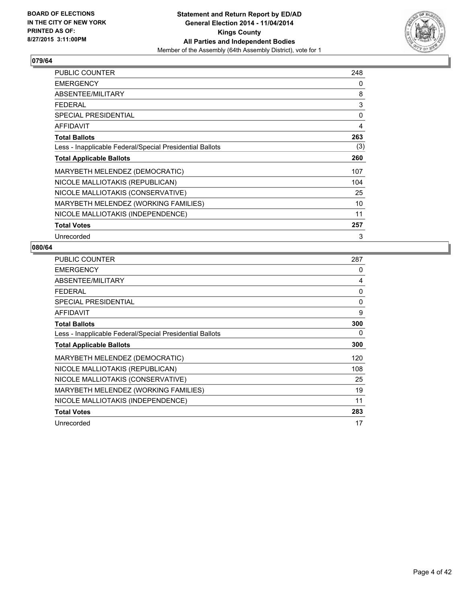

| <b>PUBLIC COUNTER</b>                                    | 248 |
|----------------------------------------------------------|-----|
| <b>EMERGENCY</b>                                         | 0   |
| ABSENTEE/MILITARY                                        | 8   |
| <b>FEDERAL</b>                                           | 3   |
| <b>SPECIAL PRESIDENTIAL</b>                              | 0   |
| <b>AFFIDAVIT</b>                                         | 4   |
| <b>Total Ballots</b>                                     | 263 |
| Less - Inapplicable Federal/Special Presidential Ballots | (3) |
| <b>Total Applicable Ballots</b>                          | 260 |
| MARYBETH MELENDEZ (DEMOCRATIC)                           | 107 |
| NICOLE MALLIOTAKIS (REPUBLICAN)                          | 104 |
| NICOLE MALLIOTAKIS (CONSERVATIVE)                        | 25  |
| MARYBETH MELENDEZ (WORKING FAMILIES)                     | 10  |
| NICOLE MALLIOTAKIS (INDEPENDENCE)                        | 11  |
| <b>Total Votes</b>                                       | 257 |
| Unrecorded                                               | 3   |

| PUBLIC COUNTER                                           | 287 |
|----------------------------------------------------------|-----|
| <b>EMERGENCY</b>                                         | 0   |
| ABSENTEE/MILITARY                                        | 4   |
| <b>FEDERAL</b>                                           | 0   |
| <b>SPECIAL PRESIDENTIAL</b>                              | 0   |
| <b>AFFIDAVIT</b>                                         | 9   |
| <b>Total Ballots</b>                                     | 300 |
| Less - Inapplicable Federal/Special Presidential Ballots | 0   |
| <b>Total Applicable Ballots</b>                          | 300 |
| MARYBETH MELENDEZ (DEMOCRATIC)                           | 120 |
| NICOLE MALLIOTAKIS (REPUBLICAN)                          | 108 |
| NICOLE MALLIOTAKIS (CONSERVATIVE)                        | 25  |
| MARYBETH MELENDEZ (WORKING FAMILIES)                     | 19  |
| NICOLE MALLIOTAKIS (INDEPENDENCE)                        | 11  |
| <b>Total Votes</b>                                       | 283 |
| Unrecorded                                               | 17  |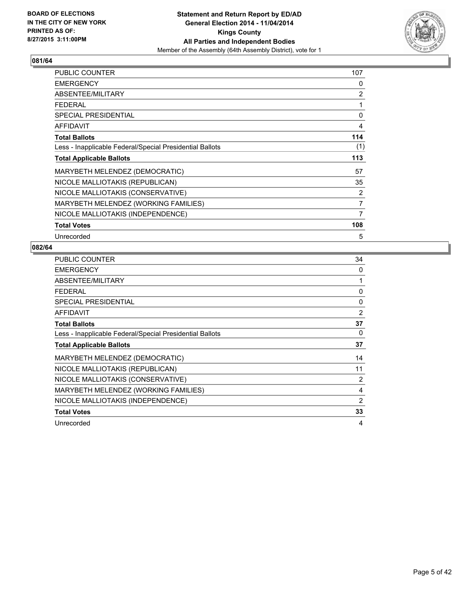

| <b>PUBLIC COUNTER</b>                                    | 107 |
|----------------------------------------------------------|-----|
| <b>EMERGENCY</b>                                         | 0   |
| ABSENTEE/MILITARY                                        | 2   |
| <b>FEDERAL</b>                                           | 1   |
| <b>SPECIAL PRESIDENTIAL</b>                              | 0   |
| <b>AFFIDAVIT</b>                                         | 4   |
| <b>Total Ballots</b>                                     | 114 |
| Less - Inapplicable Federal/Special Presidential Ballots | (1) |
| <b>Total Applicable Ballots</b>                          | 113 |
| MARYBETH MELENDEZ (DEMOCRATIC)                           | 57  |
| NICOLE MALLIOTAKIS (REPUBLICAN)                          | 35  |
| NICOLE MALLIOTAKIS (CONSERVATIVE)                        | 2   |
| MARYBETH MELENDEZ (WORKING FAMILIES)                     | 7   |
| NICOLE MALLIOTAKIS (INDEPENDENCE)                        | 7   |
| <b>Total Votes</b>                                       | 108 |
| Unrecorded                                               | 5   |

| PUBLIC COUNTER                                           | 34             |
|----------------------------------------------------------|----------------|
| <b>EMERGENCY</b>                                         | 0              |
| ABSENTEE/MILITARY                                        | 1              |
| <b>FEDERAL</b>                                           | 0              |
| <b>SPECIAL PRESIDENTIAL</b>                              | 0              |
| <b>AFFIDAVIT</b>                                         | 2              |
| <b>Total Ballots</b>                                     | 37             |
| Less - Inapplicable Federal/Special Presidential Ballots | 0              |
| <b>Total Applicable Ballots</b>                          | 37             |
| MARYBETH MELENDEZ (DEMOCRATIC)                           | 14             |
| NICOLE MALLIOTAKIS (REPUBLICAN)                          | 11             |
| NICOLE MALLIOTAKIS (CONSERVATIVE)                        | $\overline{2}$ |
| MARYBETH MELENDEZ (WORKING FAMILIES)                     | 4              |
| NICOLE MALLIOTAKIS (INDEPENDENCE)                        | $\overline{2}$ |
| <b>Total Votes</b>                                       | 33             |
| Unrecorded                                               | 4              |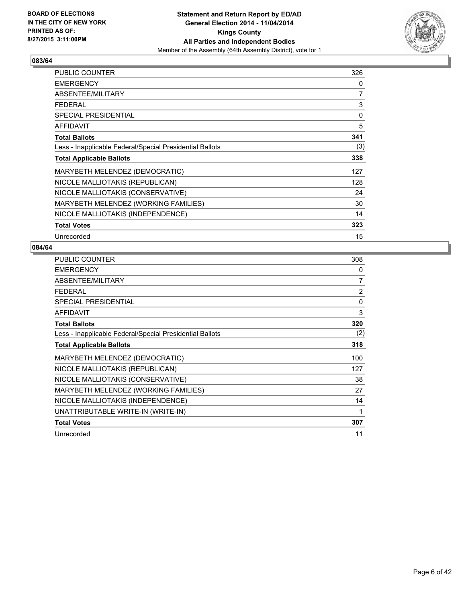

| <b>PUBLIC COUNTER</b>                                    | 326 |
|----------------------------------------------------------|-----|
| <b>EMERGENCY</b>                                         | 0   |
| ABSENTEE/MILITARY                                        | 7   |
| <b>FEDERAL</b>                                           | 3   |
| <b>SPECIAL PRESIDENTIAL</b>                              | 0   |
| <b>AFFIDAVIT</b>                                         | 5   |
| <b>Total Ballots</b>                                     | 341 |
| Less - Inapplicable Federal/Special Presidential Ballots | (3) |
| <b>Total Applicable Ballots</b>                          | 338 |
| MARYBETH MELENDEZ (DEMOCRATIC)                           | 127 |
| NICOLE MALLIOTAKIS (REPUBLICAN)                          | 128 |
| NICOLE MALLIOTAKIS (CONSERVATIVE)                        | 24  |
| MARYBETH MELENDEZ (WORKING FAMILIES)                     | 30  |
| NICOLE MALLIOTAKIS (INDEPENDENCE)                        | 14  |
| <b>Total Votes</b>                                       | 323 |
| Unrecorded                                               | 15  |

| <b>PUBLIC COUNTER</b>                                    | 308            |
|----------------------------------------------------------|----------------|
| <b>EMERGENCY</b>                                         | 0              |
| ABSENTEE/MILITARY                                        | 7              |
| <b>FEDERAL</b>                                           | $\overline{2}$ |
| <b>SPECIAL PRESIDENTIAL</b>                              | $\Omega$       |
| <b>AFFIDAVIT</b>                                         | 3              |
| <b>Total Ballots</b>                                     | 320            |
| Less - Inapplicable Federal/Special Presidential Ballots | (2)            |
| <b>Total Applicable Ballots</b>                          | 318            |
| MARYBETH MELENDEZ (DEMOCRATIC)                           | 100            |
| NICOLE MALLIOTAKIS (REPUBLICAN)                          | 127            |
| NICOLE MALLIOTAKIS (CONSERVATIVE)                        | 38             |
| MARYBETH MELENDEZ (WORKING FAMILIES)                     | 27             |
| NICOLE MALLIOTAKIS (INDEPENDENCE)                        | 14             |
| UNATTRIBUTABLE WRITE-IN (WRITE-IN)                       | 1              |
| <b>Total Votes</b>                                       | 307            |
| Unrecorded                                               | 11             |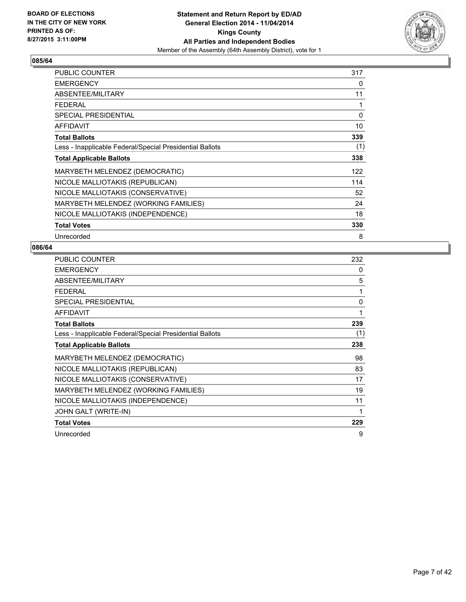

| <b>PUBLIC COUNTER</b>                                    | 317 |
|----------------------------------------------------------|-----|
| <b>EMERGENCY</b>                                         | 0   |
| ABSENTEE/MILITARY                                        | 11  |
| <b>FEDERAL</b>                                           | 1   |
| SPECIAL PRESIDENTIAL                                     | 0   |
| <b>AFFIDAVIT</b>                                         | 10  |
| <b>Total Ballots</b>                                     | 339 |
| Less - Inapplicable Federal/Special Presidential Ballots | (1) |
| <b>Total Applicable Ballots</b>                          | 338 |
| MARYBETH MELENDEZ (DEMOCRATIC)                           | 122 |
| NICOLE MALLIOTAKIS (REPUBLICAN)                          | 114 |
| NICOLE MALLIOTAKIS (CONSERVATIVE)                        | 52  |
| MARYBETH MELENDEZ (WORKING FAMILIES)                     | 24  |
| NICOLE MALLIOTAKIS (INDEPENDENCE)                        | 18  |
| <b>Total Votes</b>                                       | 330 |
| Unrecorded                                               | 8   |

| PUBLIC COUNTER                                           | 232 |
|----------------------------------------------------------|-----|
| <b>EMERGENCY</b>                                         | 0   |
| ABSENTEE/MILITARY                                        | 5   |
| <b>FEDERAL</b>                                           | 1   |
| <b>SPECIAL PRESIDENTIAL</b>                              | 0   |
| <b>AFFIDAVIT</b>                                         | 1   |
| <b>Total Ballots</b>                                     | 239 |
| Less - Inapplicable Federal/Special Presidential Ballots | (1) |
| <b>Total Applicable Ballots</b>                          | 238 |
| MARYBETH MELENDEZ (DEMOCRATIC)                           | 98  |
| NICOLE MALLIOTAKIS (REPUBLICAN)                          | 83  |
| NICOLE MALLIOTAKIS (CONSERVATIVE)                        | 17  |
| MARYBETH MELENDEZ (WORKING FAMILIES)                     | 19  |
| NICOLE MALLIOTAKIS (INDEPENDENCE)                        | 11  |
| JOHN GALT (WRITE-IN)                                     | 1   |
| <b>Total Votes</b>                                       | 229 |
| Unrecorded                                               | 9   |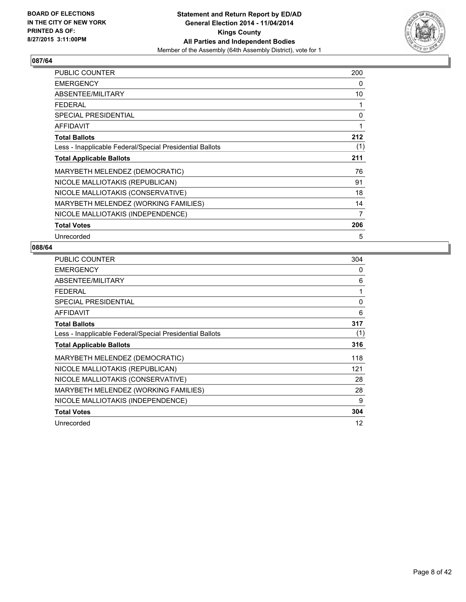

| <b>PUBLIC COUNTER</b>                                    | 200 |
|----------------------------------------------------------|-----|
| <b>EMERGENCY</b>                                         | 0   |
| ABSENTEE/MILITARY                                        | 10  |
| <b>FEDERAL</b>                                           | 1   |
| SPECIAL PRESIDENTIAL                                     | 0   |
| <b>AFFIDAVIT</b>                                         | 1   |
| <b>Total Ballots</b>                                     | 212 |
| Less - Inapplicable Federal/Special Presidential Ballots | (1) |
| <b>Total Applicable Ballots</b>                          | 211 |
| MARYBETH MELENDEZ (DEMOCRATIC)                           | 76  |
| NICOLE MALLIOTAKIS (REPUBLICAN)                          | 91  |
| NICOLE MALLIOTAKIS (CONSERVATIVE)                        | 18  |
| MARYBETH MELENDEZ (WORKING FAMILIES)                     | 14  |
| NICOLE MALLIOTAKIS (INDEPENDENCE)                        | 7   |
| <b>Total Votes</b>                                       | 206 |
| Unrecorded                                               | 5   |

| PUBLIC COUNTER                                           | 304 |
|----------------------------------------------------------|-----|
| <b>EMERGENCY</b>                                         | 0   |
| ABSENTEE/MILITARY                                        | 6   |
| <b>FEDERAL</b>                                           | 1   |
| <b>SPECIAL PRESIDENTIAL</b>                              | 0   |
| <b>AFFIDAVIT</b>                                         | 6   |
| <b>Total Ballots</b>                                     | 317 |
| Less - Inapplicable Federal/Special Presidential Ballots | (1) |
| <b>Total Applicable Ballots</b>                          | 316 |
| MARYBETH MELENDEZ (DEMOCRATIC)                           | 118 |
| NICOLE MALLIOTAKIS (REPUBLICAN)                          | 121 |
| NICOLE MALLIOTAKIS (CONSERVATIVE)                        | 28  |
| MARYBETH MELENDEZ (WORKING FAMILIES)                     | 28  |
| NICOLE MALLIOTAKIS (INDEPENDENCE)                        | 9   |
| <b>Total Votes</b>                                       | 304 |
| Unrecorded                                               | 12  |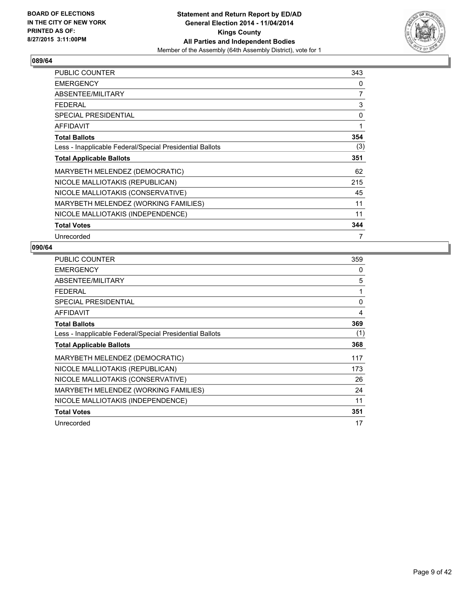

| PUBLIC COUNTER                                           | 343 |
|----------------------------------------------------------|-----|
| <b>EMERGENCY</b>                                         | 0   |
| ABSENTEE/MILITARY                                        | 7   |
| <b>FEDERAL</b>                                           | 3   |
| <b>SPECIAL PRESIDENTIAL</b>                              | 0   |
| <b>AFFIDAVIT</b>                                         | 1   |
| <b>Total Ballots</b>                                     | 354 |
| Less - Inapplicable Federal/Special Presidential Ballots | (3) |
| <b>Total Applicable Ballots</b>                          | 351 |
| MARYBETH MELENDEZ (DEMOCRATIC)                           | 62  |
| NICOLE MALLIOTAKIS (REPUBLICAN)                          | 215 |
| NICOLE MALLIOTAKIS (CONSERVATIVE)                        | 45  |
| MARYBETH MELENDEZ (WORKING FAMILIES)                     | 11  |
| NICOLE MALLIOTAKIS (INDEPENDENCE)                        | 11  |
| <b>Total Votes</b>                                       | 344 |
| Unrecorded                                               | 7   |

| <b>PUBLIC COUNTER</b>                                    | 359 |
|----------------------------------------------------------|-----|
| <b>EMERGENCY</b>                                         | 0   |
| ABSENTEE/MILITARY                                        | 5   |
| <b>FEDERAL</b>                                           | 1   |
| <b>SPECIAL PRESIDENTIAL</b>                              | 0   |
| <b>AFFIDAVIT</b>                                         | 4   |
| <b>Total Ballots</b>                                     | 369 |
| Less - Inapplicable Federal/Special Presidential Ballots | (1) |
| <b>Total Applicable Ballots</b>                          | 368 |
| MARYBETH MELENDEZ (DEMOCRATIC)                           | 117 |
| NICOLE MALLIOTAKIS (REPUBLICAN)                          | 173 |
| NICOLE MALLIOTAKIS (CONSERVATIVE)                        | 26  |
| MARYBETH MELENDEZ (WORKING FAMILIES)                     | 24  |
| NICOLE MALLIOTAKIS (INDEPENDENCE)                        | 11  |
| <b>Total Votes</b>                                       | 351 |
| Unrecorded                                               | 17  |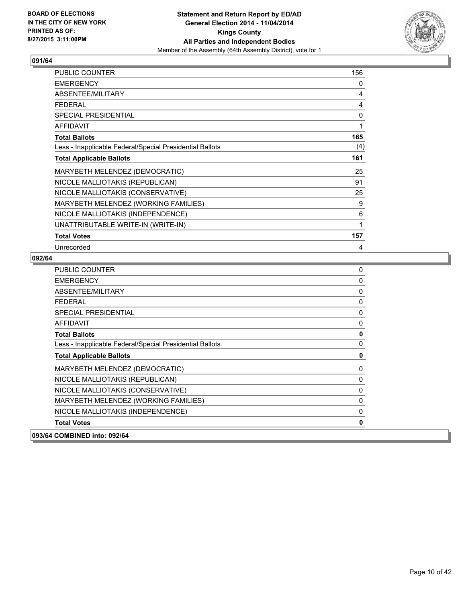

| PUBLIC COUNTER                                           | 156 |
|----------------------------------------------------------|-----|
| <b>EMERGENCY</b>                                         | 0   |
| ABSENTEE/MILITARY                                        | 4   |
| <b>FEDERAL</b>                                           | 4   |
| <b>SPECIAL PRESIDENTIAL</b>                              | 0   |
| <b>AFFIDAVIT</b>                                         | 1   |
| <b>Total Ballots</b>                                     | 165 |
| Less - Inapplicable Federal/Special Presidential Ballots | (4) |
| <b>Total Applicable Ballots</b>                          | 161 |
| MARYBETH MELENDEZ (DEMOCRATIC)                           | 25  |
| NICOLE MALLIOTAKIS (REPUBLICAN)                          | 91  |
| NICOLE MALLIOTAKIS (CONSERVATIVE)                        | 25  |
| MARYBETH MELENDEZ (WORKING FAMILIES)                     | 9   |
| NICOLE MALLIOTAKIS (INDEPENDENCE)                        | 6   |
| UNATTRIBUTABLE WRITE-IN (WRITE-IN)                       | 1   |
| <b>Total Votes</b>                                       | 157 |
| Unrecorded                                               | 4   |

| PUBLIC COUNTER                                           | 0           |
|----------------------------------------------------------|-------------|
| <b>EMERGENCY</b>                                         | 0           |
| ABSENTEE/MILITARY                                        | 0           |
| <b>FEDERAL</b>                                           | 0           |
| <b>SPECIAL PRESIDENTIAL</b>                              | $\mathbf 0$ |
| AFFIDAVIT                                                | 0           |
| <b>Total Ballots</b>                                     | $\mathbf 0$ |
| Less - Inapplicable Federal/Special Presidential Ballots | 0           |
| <b>Total Applicable Ballots</b>                          | 0           |
| MARYBETH MELENDEZ (DEMOCRATIC)                           | 0           |
| NICOLE MALLIOTAKIS (REPUBLICAN)                          | 0           |
| NICOLE MALLIOTAKIS (CONSERVATIVE)                        | 0           |
| MARYBETH MELENDEZ (WORKING FAMILIES)                     | 0           |
| NICOLE MALLIOTAKIS (INDEPENDENCE)                        | 0           |
| <b>Total Votes</b>                                       | 0           |
| 093/64 COMBINED into: 092/64                             |             |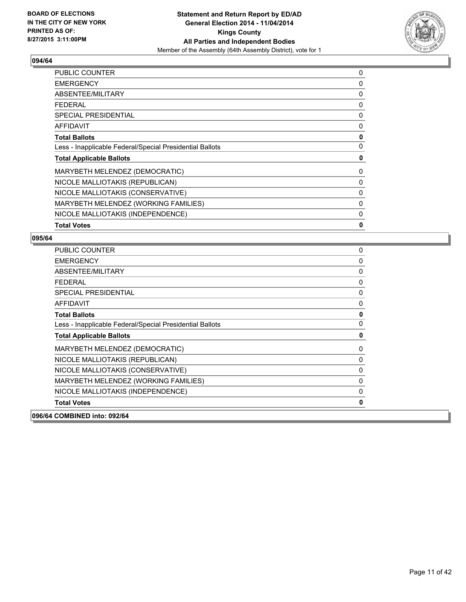

| <b>PUBLIC COUNTER</b>                                    | 0 |
|----------------------------------------------------------|---|
| <b>EMERGENCY</b>                                         | 0 |
| ABSENTEE/MILITARY                                        | 0 |
| <b>FEDERAL</b>                                           | 0 |
| <b>SPECIAL PRESIDENTIAL</b>                              | 0 |
| <b>AFFIDAVIT</b>                                         | 0 |
| <b>Total Ballots</b>                                     | 0 |
| Less - Inapplicable Federal/Special Presidential Ballots | 0 |
| <b>Total Applicable Ballots</b>                          | 0 |
| MARYBETH MELENDEZ (DEMOCRATIC)                           | 0 |
| NICOLE MALLIOTAKIS (REPUBLICAN)                          | 0 |
| NICOLE MALLIOTAKIS (CONSERVATIVE)                        | 0 |
| MARYBETH MELENDEZ (WORKING FAMILIES)                     | 0 |
| NICOLE MALLIOTAKIS (INDEPENDENCE)                        | 0 |
| <b>Total Votes</b>                                       | 0 |

| <b>PUBLIC COUNTER</b>                                    | $\mathbf{0}$ |
|----------------------------------------------------------|--------------|
| <b>EMERGENCY</b>                                         | 0            |
| <b>ABSENTEE/MILITARY</b>                                 | 0            |
| <b>FEDERAL</b>                                           | 0            |
| <b>SPECIAL PRESIDENTIAL</b>                              | $\mathbf{0}$ |
| <b>AFFIDAVIT</b>                                         | 0            |
| <b>Total Ballots</b>                                     | $\mathbf 0$  |
| Less - Inapplicable Federal/Special Presidential Ballots | $\Omega$     |
| <b>Total Applicable Ballots</b>                          | 0            |
| MARYBETH MELENDEZ (DEMOCRATIC)                           | 0            |
|                                                          |              |
| NICOLE MALLIOTAKIS (REPUBLICAN)                          | 0            |
| NICOLE MALLIOTAKIS (CONSERVATIVE)                        | $\mathbf{0}$ |
| MARYBETH MELENDEZ (WORKING FAMILIES)                     | $\mathbf{0}$ |
| NICOLE MALLIOTAKIS (INDEPENDENCE)                        | $\Omega$     |
| <b>Total Votes</b>                                       | 0            |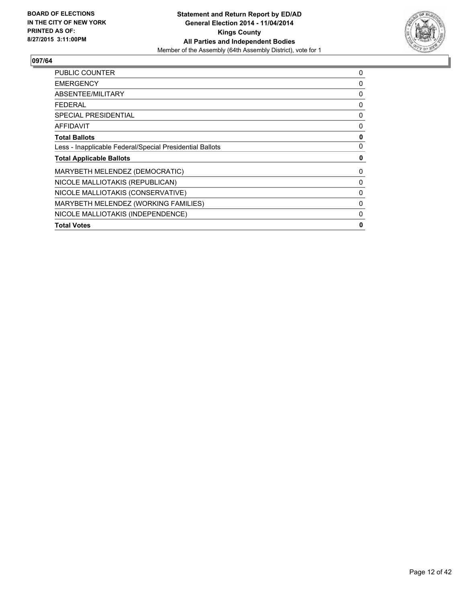

| <b>PUBLIC COUNTER</b>                                    | 0 |
|----------------------------------------------------------|---|
| <b>EMERGENCY</b>                                         | 0 |
| ABSENTEE/MILITARY                                        | 0 |
| <b>FEDERAL</b>                                           | 0 |
| <b>SPECIAL PRESIDENTIAL</b>                              | 0 |
| <b>AFFIDAVIT</b>                                         | 0 |
| <b>Total Ballots</b>                                     | 0 |
| Less - Inapplicable Federal/Special Presidential Ballots | 0 |
| <b>Total Applicable Ballots</b>                          | 0 |
| MARYBETH MELENDEZ (DEMOCRATIC)                           | 0 |
| NICOLE MALLIOTAKIS (REPUBLICAN)                          | 0 |
| NICOLE MALLIOTAKIS (CONSERVATIVE)                        | 0 |
| MARYBETH MELENDEZ (WORKING FAMILIES)                     | 0 |
| NICOLE MALLIOTAKIS (INDEPENDENCE)                        | 0 |
| <b>Total Votes</b>                                       | 0 |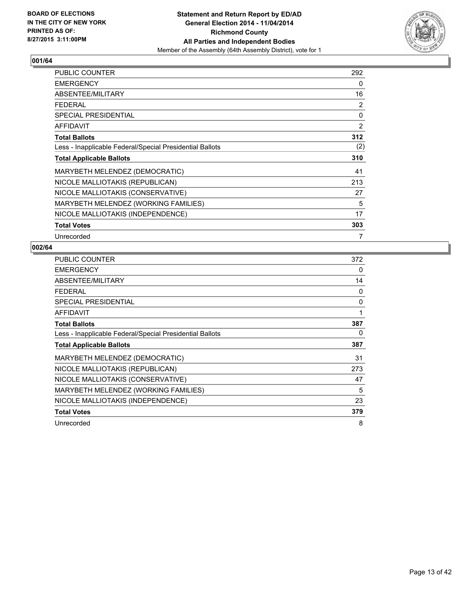

| <b>PUBLIC COUNTER</b>                                    | 292 |
|----------------------------------------------------------|-----|
| <b>EMERGENCY</b>                                         | 0   |
| ABSENTEE/MILITARY                                        | 16  |
| <b>FEDERAL</b>                                           | 2   |
| SPECIAL PRESIDENTIAL                                     | 0   |
| <b>AFFIDAVIT</b>                                         | 2   |
| <b>Total Ballots</b>                                     | 312 |
| Less - Inapplicable Federal/Special Presidential Ballots | (2) |
| <b>Total Applicable Ballots</b>                          | 310 |
| MARYBETH MELENDEZ (DEMOCRATIC)                           | 41  |
| NICOLE MALLIOTAKIS (REPUBLICAN)                          | 213 |
| NICOLE MALLIOTAKIS (CONSERVATIVE)                        | 27  |
| MARYBETH MELENDEZ (WORKING FAMILIES)                     | 5   |
| NICOLE MALLIOTAKIS (INDEPENDENCE)                        | 17  |
| <b>Total Votes</b>                                       | 303 |
| Unrecorded                                               | 7   |

| PUBLIC COUNTER                                           | 372 |
|----------------------------------------------------------|-----|
| <b>EMERGENCY</b>                                         | 0   |
| ABSENTEE/MILITARY                                        | 14  |
| <b>FEDERAL</b>                                           | 0   |
| <b>SPECIAL PRESIDENTIAL</b>                              | 0   |
| <b>AFFIDAVIT</b>                                         | 1   |
| <b>Total Ballots</b>                                     | 387 |
| Less - Inapplicable Federal/Special Presidential Ballots | 0   |
| <b>Total Applicable Ballots</b>                          | 387 |
| MARYBETH MELENDEZ (DEMOCRATIC)                           | 31  |
| NICOLE MALLIOTAKIS (REPUBLICAN)                          | 273 |
| NICOLE MALLIOTAKIS (CONSERVATIVE)                        | 47  |
| MARYBETH MELENDEZ (WORKING FAMILIES)                     | 5   |
| NICOLE MALLIOTAKIS (INDEPENDENCE)                        | 23  |
| <b>Total Votes</b>                                       | 379 |
| Unrecorded                                               | 8   |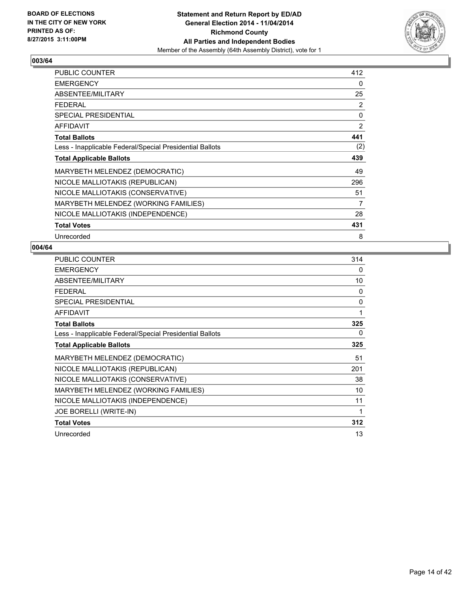

| <b>PUBLIC COUNTER</b>                                    | 412 |
|----------------------------------------------------------|-----|
| <b>EMERGENCY</b>                                         | 0   |
| ABSENTEE/MILITARY                                        | 25  |
| <b>FEDERAL</b>                                           | 2   |
| <b>SPECIAL PRESIDENTIAL</b>                              | 0   |
| <b>AFFIDAVIT</b>                                         | 2   |
| <b>Total Ballots</b>                                     | 441 |
| Less - Inapplicable Federal/Special Presidential Ballots | (2) |
| <b>Total Applicable Ballots</b>                          | 439 |
| MARYBETH MELENDEZ (DEMOCRATIC)                           | 49  |
| NICOLE MALLIOTAKIS (REPUBLICAN)                          | 296 |
| NICOLE MALLIOTAKIS (CONSERVATIVE)                        | 51  |
| MARYBETH MELENDEZ (WORKING FAMILIES)                     | 7   |
| NICOLE MALLIOTAKIS (INDEPENDENCE)                        | 28  |
| <b>Total Votes</b>                                       | 431 |
| Unrecorded                                               | 8   |

| PUBLIC COUNTER                                           | 314      |
|----------------------------------------------------------|----------|
| <b>EMERGENCY</b>                                         | 0        |
| ABSENTEE/MILITARY                                        | 10       |
| <b>FEDERAL</b>                                           | 0        |
| <b>SPECIAL PRESIDENTIAL</b>                              | $\Omega$ |
| <b>AFFIDAVIT</b>                                         | 1        |
| <b>Total Ballots</b>                                     | 325      |
| Less - Inapplicable Federal/Special Presidential Ballots | 0        |
| <b>Total Applicable Ballots</b>                          | 325      |
| MARYBETH MELENDEZ (DEMOCRATIC)                           | 51       |
| NICOLE MALLIOTAKIS (REPUBLICAN)                          | 201      |
| NICOLE MALLIOTAKIS (CONSERVATIVE)                        | 38       |
| MARYBETH MELENDEZ (WORKING FAMILIES)                     | 10       |
| NICOLE MALLIOTAKIS (INDEPENDENCE)                        | 11       |
| <b>JOE BORELLI (WRITE-IN)</b>                            | 1        |
| <b>Total Votes</b>                                       | 312      |
| Unrecorded                                               | 13       |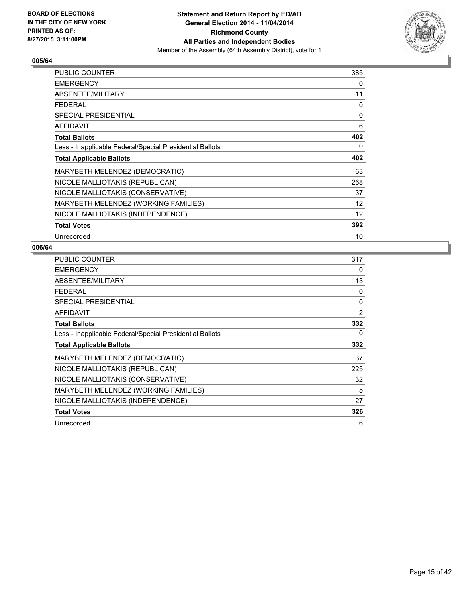

| <b>PUBLIC COUNTER</b>                                    | 385 |
|----------------------------------------------------------|-----|
| <b>EMERGENCY</b>                                         | 0   |
| ABSENTEE/MILITARY                                        | 11  |
| <b>FEDERAL</b>                                           | 0   |
| <b>SPECIAL PRESIDENTIAL</b>                              | 0   |
| <b>AFFIDAVIT</b>                                         | 6   |
| <b>Total Ballots</b>                                     | 402 |
| Less - Inapplicable Federal/Special Presidential Ballots | 0   |
| <b>Total Applicable Ballots</b>                          | 402 |
| MARYBETH MELENDEZ (DEMOCRATIC)                           | 63  |
| NICOLE MALLIOTAKIS (REPUBLICAN)                          | 268 |
| NICOLE MALLIOTAKIS (CONSERVATIVE)                        | 37  |
| MARYBETH MELENDEZ (WORKING FAMILIES)                     | 12  |
| NICOLE MALLIOTAKIS (INDEPENDENCE)                        | 12  |
| <b>Total Votes</b>                                       | 392 |
| Unrecorded                                               | 10  |

| PUBLIC COUNTER                                           | 317 |
|----------------------------------------------------------|-----|
| <b>EMERGENCY</b>                                         | 0   |
| ABSENTEE/MILITARY                                        | 13  |
| <b>FEDERAL</b>                                           | 0   |
| <b>SPECIAL PRESIDENTIAL</b>                              | 0   |
| AFFIDAVIT                                                | 2   |
| <b>Total Ballots</b>                                     | 332 |
| Less - Inapplicable Federal/Special Presidential Ballots | 0   |
| <b>Total Applicable Ballots</b>                          | 332 |
| MARYBETH MELENDEZ (DEMOCRATIC)                           | 37  |
| NICOLE MALLIOTAKIS (REPUBLICAN)                          | 225 |
| NICOLE MALLIOTAKIS (CONSERVATIVE)                        | 32  |
| MARYBETH MELENDEZ (WORKING FAMILIES)                     | 5   |
| NICOLE MALLIOTAKIS (INDEPENDENCE)                        | 27  |
| <b>Total Votes</b>                                       | 326 |
| Unrecorded                                               | 6   |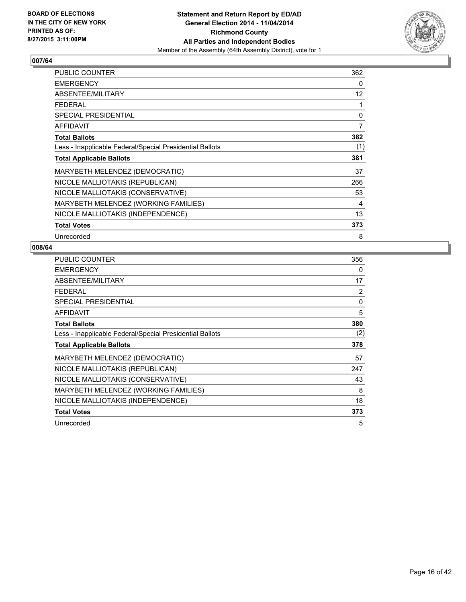

| <b>PUBLIC COUNTER</b>                                    | 362 |
|----------------------------------------------------------|-----|
| <b>EMERGENCY</b>                                         | 0   |
| ABSENTEE/MILITARY                                        | 12  |
| <b>FEDERAL</b>                                           | 1   |
| SPECIAL PRESIDENTIAL                                     | 0   |
| <b>AFFIDAVIT</b>                                         | 7   |
| <b>Total Ballots</b>                                     | 382 |
| Less - Inapplicable Federal/Special Presidential Ballots | (1) |
| <b>Total Applicable Ballots</b>                          | 381 |
| MARYBETH MELENDEZ (DEMOCRATIC)                           | 37  |
| NICOLE MALLIOTAKIS (REPUBLICAN)                          | 266 |
| NICOLE MALLIOTAKIS (CONSERVATIVE)                        | 53  |
| MARYBETH MELENDEZ (WORKING FAMILIES)                     | 4   |
| NICOLE MALLIOTAKIS (INDEPENDENCE)                        | 13  |
| <b>Total Votes</b>                                       | 373 |
| Unrecorded                                               | 8   |

| PUBLIC COUNTER                                           | 356 |
|----------------------------------------------------------|-----|
| <b>EMERGENCY</b>                                         | 0   |
| ABSENTEE/MILITARY                                        | 17  |
| <b>FEDERAL</b>                                           | 2   |
| <b>SPECIAL PRESIDENTIAL</b>                              | 0   |
| <b>AFFIDAVIT</b>                                         | 5   |
| <b>Total Ballots</b>                                     | 380 |
| Less - Inapplicable Federal/Special Presidential Ballots | (2) |
| <b>Total Applicable Ballots</b>                          | 378 |
| MARYBETH MELENDEZ (DEMOCRATIC)                           | 57  |
| NICOLE MALLIOTAKIS (REPUBLICAN)                          | 247 |
| NICOLE MALLIOTAKIS (CONSERVATIVE)                        | 43  |
| MARYBETH MELENDEZ (WORKING FAMILIES)                     | 8   |
| NICOLE MALLIOTAKIS (INDEPENDENCE)                        | 18  |
| <b>Total Votes</b>                                       | 373 |
| Unrecorded                                               | 5   |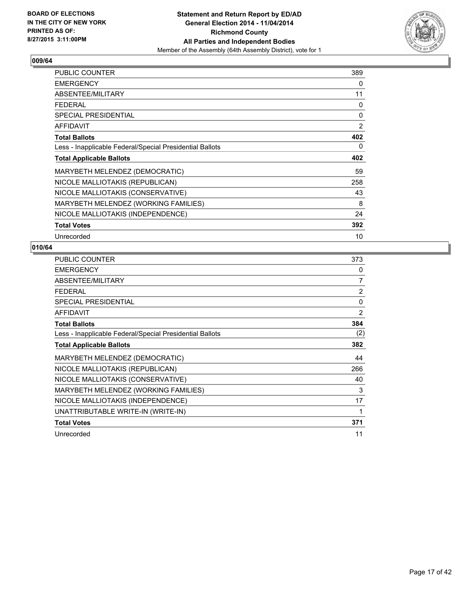

| <b>PUBLIC COUNTER</b>                                    | 389 |
|----------------------------------------------------------|-----|
| <b>EMERGENCY</b>                                         | 0   |
| ABSENTEE/MILITARY                                        | 11  |
| <b>FEDERAL</b>                                           | 0   |
| SPECIAL PRESIDENTIAL                                     | 0   |
| <b>AFFIDAVIT</b>                                         | 2   |
| <b>Total Ballots</b>                                     | 402 |
| Less - Inapplicable Federal/Special Presidential Ballots | 0   |
| <b>Total Applicable Ballots</b>                          | 402 |
| MARYBETH MELENDEZ (DEMOCRATIC)                           | 59  |
| NICOLE MALLIOTAKIS (REPUBLICAN)                          | 258 |
| NICOLE MALLIOTAKIS (CONSERVATIVE)                        | 43  |
| MARYBETH MELENDEZ (WORKING FAMILIES)                     | 8   |
| NICOLE MALLIOTAKIS (INDEPENDENCE)                        | 24  |
| <b>Total Votes</b>                                       | 392 |
| Unrecorded                                               | 10  |

| <b>PUBLIC COUNTER</b>                                    | 373            |
|----------------------------------------------------------|----------------|
| <b>EMERGENCY</b>                                         | 0              |
| ABSENTEE/MILITARY                                        | 7              |
| <b>FEDERAL</b>                                           | $\overline{2}$ |
| <b>SPECIAL PRESIDENTIAL</b>                              | 0              |
| <b>AFFIDAVIT</b>                                         | 2              |
| <b>Total Ballots</b>                                     | 384            |
| Less - Inapplicable Federal/Special Presidential Ballots | (2)            |
| <b>Total Applicable Ballots</b>                          | 382            |
| MARYBETH MELENDEZ (DEMOCRATIC)                           | 44             |
| NICOLE MALLIOTAKIS (REPUBLICAN)                          | 266            |
| NICOLE MALLIOTAKIS (CONSERVATIVE)                        | 40             |
| MARYBETH MELENDEZ (WORKING FAMILIES)                     | 3              |
| NICOLE MALLIOTAKIS (INDEPENDENCE)                        | 17             |
| UNATTRIBUTABLE WRITE-IN (WRITE-IN)                       | 1              |
| <b>Total Votes</b>                                       | 371            |
| Unrecorded                                               | 11             |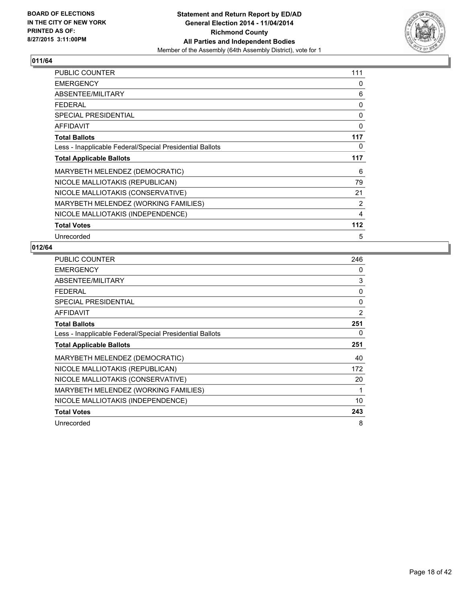

| <b>PUBLIC COUNTER</b>                                    | 111 |
|----------------------------------------------------------|-----|
| <b>EMERGENCY</b>                                         | 0   |
| ABSENTEE/MILITARY                                        | 6   |
| <b>FEDERAL</b>                                           | 0   |
| SPECIAL PRESIDENTIAL                                     | 0   |
| <b>AFFIDAVIT</b>                                         | 0   |
| <b>Total Ballots</b>                                     | 117 |
| Less - Inapplicable Federal/Special Presidential Ballots | 0   |
| <b>Total Applicable Ballots</b>                          | 117 |
| MARYBETH MELENDEZ (DEMOCRATIC)                           | 6   |
| NICOLE MALLIOTAKIS (REPUBLICAN)                          | 79  |
| NICOLE MALLIOTAKIS (CONSERVATIVE)                        | 21  |
| MARYBETH MELENDEZ (WORKING FAMILIES)                     | 2   |
| NICOLE MALLIOTAKIS (INDEPENDENCE)                        | 4   |
| <b>Total Votes</b>                                       | 112 |
| Unrecorded                                               | 5   |

| PUBLIC COUNTER                                           | 246 |
|----------------------------------------------------------|-----|
| <b>EMERGENCY</b>                                         | 0   |
| ABSENTEE/MILITARY                                        | 3   |
| <b>FEDERAL</b>                                           | 0   |
| <b>SPECIAL PRESIDENTIAL</b>                              | 0   |
| <b>AFFIDAVIT</b>                                         | 2   |
| <b>Total Ballots</b>                                     | 251 |
| Less - Inapplicable Federal/Special Presidential Ballots | 0   |
| <b>Total Applicable Ballots</b>                          | 251 |
| MARYBETH MELENDEZ (DEMOCRATIC)                           | 40  |
| NICOLE MALLIOTAKIS (REPUBLICAN)                          | 172 |
| NICOLE MALLIOTAKIS (CONSERVATIVE)                        | 20  |
| MARYBETH MELENDEZ (WORKING FAMILIES)                     | 1   |
| NICOLE MALLIOTAKIS (INDEPENDENCE)                        | 10  |
| <b>Total Votes</b>                                       | 243 |
| Unrecorded                                               | 8   |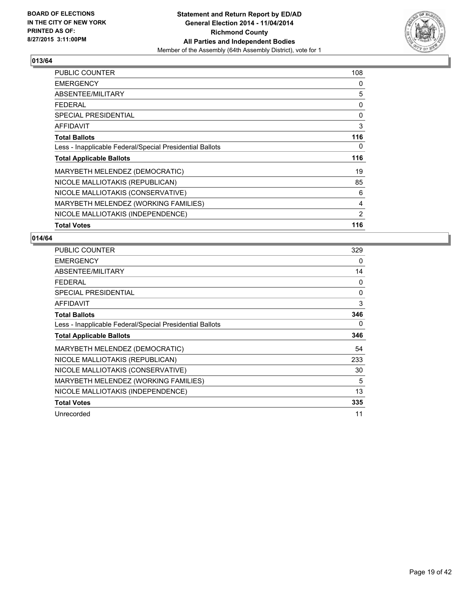

| <b>PUBLIC COUNTER</b>                                    | 108            |
|----------------------------------------------------------|----------------|
| <b>EMERGENCY</b>                                         | 0              |
| ABSENTEE/MILITARY                                        | 5              |
| FEDERAL                                                  | 0              |
| <b>SPECIAL PRESIDENTIAL</b>                              | 0              |
| <b>AFFIDAVIT</b>                                         | 3              |
| <b>Total Ballots</b>                                     | 116            |
| Less - Inapplicable Federal/Special Presidential Ballots | 0              |
| <b>Total Applicable Ballots</b>                          | 116            |
| MARYBETH MELENDEZ (DEMOCRATIC)                           | 19             |
| NICOLE MALLIOTAKIS (REPUBLICAN)                          | 85             |
| NICOLE MALLIOTAKIS (CONSERVATIVE)                        | 6              |
| MARYBETH MELENDEZ (WORKING FAMILIES)                     | 4              |
| NICOLE MALLIOTAKIS (INDEPENDENCE)                        | $\overline{2}$ |
| <b>Total Votes</b>                                       | 116            |

| <b>PUBLIC COUNTER</b>                                    | 329      |
|----------------------------------------------------------|----------|
| <b>EMERGENCY</b>                                         | 0        |
| ABSENTEE/MILITARY                                        | 14       |
| <b>FEDERAL</b>                                           | $\Omega$ |
| <b>SPECIAL PRESIDENTIAL</b>                              | $\Omega$ |
| AFFIDAVIT                                                | 3        |
| <b>Total Ballots</b>                                     | 346      |
| Less - Inapplicable Federal/Special Presidential Ballots | 0        |
| <b>Total Applicable Ballots</b>                          | 346      |
| MARYBETH MELENDEZ (DEMOCRATIC)                           | 54       |
| NICOLE MALLIOTAKIS (REPUBLICAN)                          | 233      |
| NICOLE MALLIOTAKIS (CONSERVATIVE)                        | 30       |
| MARYBETH MELENDEZ (WORKING FAMILIES)                     | 5        |
| NICOLE MALLIOTAKIS (INDEPENDENCE)                        | 13       |
| <b>Total Votes</b>                                       | 335      |
| Unrecorded                                               | 11       |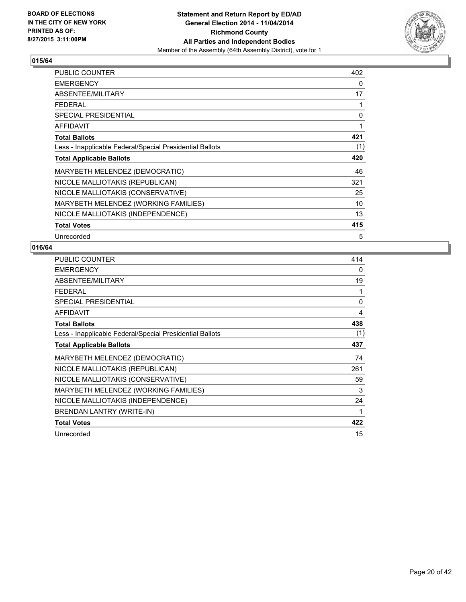

| <b>PUBLIC COUNTER</b>                                    | 402 |
|----------------------------------------------------------|-----|
| <b>EMERGENCY</b>                                         | 0   |
| ABSENTEE/MILITARY                                        | 17  |
| <b>FEDERAL</b>                                           | 1   |
| <b>SPECIAL PRESIDENTIAL</b>                              | 0   |
| <b>AFFIDAVIT</b>                                         | 1   |
| <b>Total Ballots</b>                                     | 421 |
| Less - Inapplicable Federal/Special Presidential Ballots | (1) |
| <b>Total Applicable Ballots</b>                          | 420 |
| MARYBETH MELENDEZ (DEMOCRATIC)                           | 46  |
| NICOLE MALLIOTAKIS (REPUBLICAN)                          | 321 |
| NICOLE MALLIOTAKIS (CONSERVATIVE)                        | 25  |
| MARYBETH MELENDEZ (WORKING FAMILIES)                     | 10  |
| NICOLE MALLIOTAKIS (INDEPENDENCE)                        | 13  |
| <b>Total Votes</b>                                       | 415 |
| Unrecorded                                               | 5   |

| PUBLIC COUNTER                                           | 414          |
|----------------------------------------------------------|--------------|
| <b>EMERGENCY</b>                                         | 0            |
| ABSENTEE/MILITARY                                        | 19           |
| <b>FEDERAL</b>                                           | 1            |
| <b>SPECIAL PRESIDENTIAL</b>                              | $\mathbf{0}$ |
| <b>AFFIDAVIT</b>                                         | 4            |
| <b>Total Ballots</b>                                     | 438          |
| Less - Inapplicable Federal/Special Presidential Ballots | (1)          |
| <b>Total Applicable Ballots</b>                          | 437          |
| MARYBETH MELENDEZ (DEMOCRATIC)                           | 74           |
| NICOLE MALLIOTAKIS (REPUBLICAN)                          | 261          |
| NICOLE MALLIOTAKIS (CONSERVATIVE)                        | 59           |
| MARYBETH MELENDEZ (WORKING FAMILIES)                     | 3            |
| NICOLE MALLIOTAKIS (INDEPENDENCE)                        | 24           |
| BRENDAN LANTRY (WRITE-IN)                                | 1            |
| <b>Total Votes</b>                                       | 422          |
| Unrecorded                                               | 15           |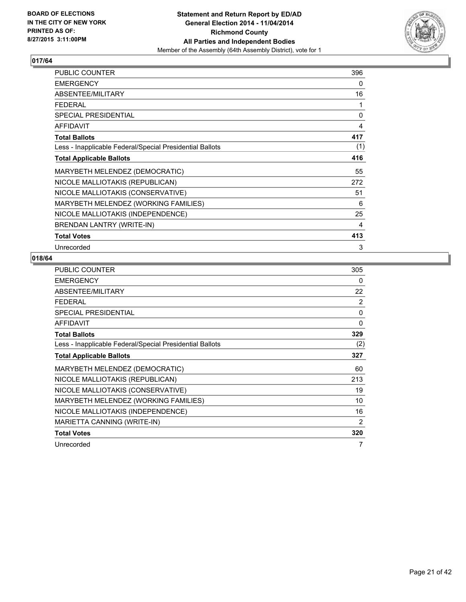

| PUBLIC COUNTER                                           | 396      |
|----------------------------------------------------------|----------|
| <b>EMERGENCY</b>                                         | 0        |
| ABSENTEE/MILITARY                                        | 16       |
| <b>FEDERAL</b>                                           | 1        |
| SPECIAL PRESIDENTIAL                                     | $\Omega$ |
| <b>AFFIDAVIT</b>                                         | 4        |
| <b>Total Ballots</b>                                     | 417      |
| Less - Inapplicable Federal/Special Presidential Ballots | (1)      |
| <b>Total Applicable Ballots</b>                          | 416      |
| MARYBETH MELENDEZ (DEMOCRATIC)                           | 55       |
| NICOLE MALLIOTAKIS (REPUBLICAN)                          | 272      |
| NICOLE MALLIOTAKIS (CONSERVATIVE)                        | 51       |
| MARYBETH MELENDEZ (WORKING FAMILIES)                     | 6        |
| NICOLE MALLIOTAKIS (INDEPENDENCE)                        | 25       |
| BRENDAN LANTRY (WRITE-IN)                                | 4        |
| <b>Total Votes</b>                                       | 413      |
| Unrecorded                                               | 3        |

| <b>PUBLIC COUNTER</b>                                    | 305            |
|----------------------------------------------------------|----------------|
| <b>EMERGENCY</b>                                         | 0              |
| ABSENTEE/MILITARY                                        | 22             |
| <b>FEDERAL</b>                                           | 2              |
| <b>SPECIAL PRESIDENTIAL</b>                              | 0              |
| <b>AFFIDAVIT</b>                                         | 0              |
| <b>Total Ballots</b>                                     | 329            |
| Less - Inapplicable Federal/Special Presidential Ballots | (2)            |
| <b>Total Applicable Ballots</b>                          | 327            |
| MARYBETH MELENDEZ (DEMOCRATIC)                           | 60             |
| NICOLE MALLIOTAKIS (REPUBLICAN)                          | 213            |
| NICOLE MALLIOTAKIS (CONSERVATIVE)                        | 19             |
| MARYBETH MELENDEZ (WORKING FAMILIES)                     | 10             |
| NICOLE MALLIOTAKIS (INDEPENDENCE)                        | 16             |
| MARIETTA CANNING (WRITE-IN)                              | $\overline{2}$ |
| <b>Total Votes</b>                                       | 320            |
| Unrecorded                                               | 7              |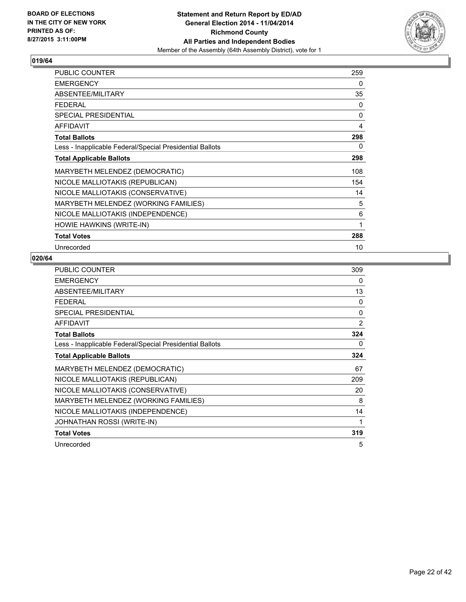

| <b>PUBLIC COUNTER</b>                                    | 259 |
|----------------------------------------------------------|-----|
| <b>EMERGENCY</b>                                         | 0   |
| ABSENTEE/MILITARY                                        | 35  |
| <b>FEDERAL</b>                                           | 0   |
| <b>SPECIAL PRESIDENTIAL</b>                              | 0   |
| <b>AFFIDAVIT</b>                                         | 4   |
| <b>Total Ballots</b>                                     | 298 |
| Less - Inapplicable Federal/Special Presidential Ballots | 0   |
| <b>Total Applicable Ballots</b>                          | 298 |
| MARYBETH MELENDEZ (DEMOCRATIC)                           | 108 |
| NICOLE MALLIOTAKIS (REPUBLICAN)                          | 154 |
| NICOLE MALLIOTAKIS (CONSERVATIVE)                        | 14  |
| MARYBETH MELENDEZ (WORKING FAMILIES)                     | 5   |
| NICOLE MALLIOTAKIS (INDEPENDENCE)                        | 6   |
| HOWIE HAWKINS (WRITE-IN)                                 | 1   |
| <b>Total Votes</b>                                       | 288 |
| Unrecorded                                               | 10  |

| <b>PUBLIC COUNTER</b>                                    | 309 |
|----------------------------------------------------------|-----|
| <b>EMERGENCY</b>                                         | 0   |
| ABSENTEE/MILITARY                                        | 13  |
| <b>FEDERAL</b>                                           | 0   |
| <b>SPECIAL PRESIDENTIAL</b>                              | 0   |
| <b>AFFIDAVIT</b>                                         | 2   |
| <b>Total Ballots</b>                                     | 324 |
| Less - Inapplicable Federal/Special Presidential Ballots | 0   |
| <b>Total Applicable Ballots</b>                          | 324 |
| MARYBETH MELENDEZ (DEMOCRATIC)                           | 67  |
| NICOLE MALLIOTAKIS (REPUBLICAN)                          | 209 |
| NICOLE MALLIOTAKIS (CONSERVATIVE)                        | 20  |
| MARYBETH MELENDEZ (WORKING FAMILIES)                     | 8   |
| NICOLE MALLIOTAKIS (INDEPENDENCE)                        | 14  |
| JOHNATHAN ROSSI (WRITE-IN)                               | 1   |
| <b>Total Votes</b>                                       | 319 |
| Unrecorded                                               | 5   |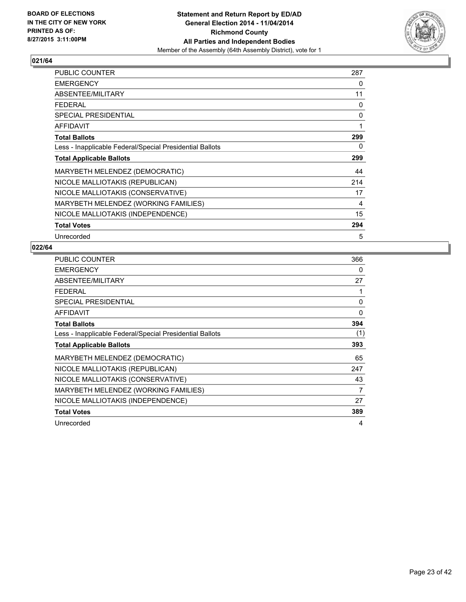

| <b>PUBLIC COUNTER</b>                                    | 287 |
|----------------------------------------------------------|-----|
| <b>EMERGENCY</b>                                         | 0   |
| ABSENTEE/MILITARY                                        | 11  |
| <b>FEDERAL</b>                                           | 0   |
| <b>SPECIAL PRESIDENTIAL</b>                              | 0   |
| <b>AFFIDAVIT</b>                                         | 1   |
| <b>Total Ballots</b>                                     | 299 |
| Less - Inapplicable Federal/Special Presidential Ballots | 0   |
| <b>Total Applicable Ballots</b>                          | 299 |
| MARYBETH MELENDEZ (DEMOCRATIC)                           | 44  |
| NICOLE MALLIOTAKIS (REPUBLICAN)                          | 214 |
| NICOLE MALLIOTAKIS (CONSERVATIVE)                        | 17  |
| MARYBETH MELENDEZ (WORKING FAMILIES)                     | 4   |
| NICOLE MALLIOTAKIS (INDEPENDENCE)                        | 15  |
| <b>Total Votes</b>                                       | 294 |
| Unrecorded                                               | 5   |

| <b>PUBLIC COUNTER</b>                                    | 366 |
|----------------------------------------------------------|-----|
| <b>EMERGENCY</b>                                         | 0   |
| ABSENTEE/MILITARY                                        | 27  |
| <b>FEDERAL</b>                                           | 1   |
| <b>SPECIAL PRESIDENTIAL</b>                              | 0   |
| <b>AFFIDAVIT</b>                                         | 0   |
| <b>Total Ballots</b>                                     | 394 |
| Less - Inapplicable Federal/Special Presidential Ballots | (1) |
| <b>Total Applicable Ballots</b>                          | 393 |
| MARYBETH MELENDEZ (DEMOCRATIC)                           | 65  |
| NICOLE MALLIOTAKIS (REPUBLICAN)                          | 247 |
| NICOLE MALLIOTAKIS (CONSERVATIVE)                        | 43  |
| MARYBETH MELENDEZ (WORKING FAMILIES)                     | 7   |
| NICOLE MALLIOTAKIS (INDEPENDENCE)                        | 27  |
| <b>Total Votes</b>                                       | 389 |
| Unrecorded                                               | 4   |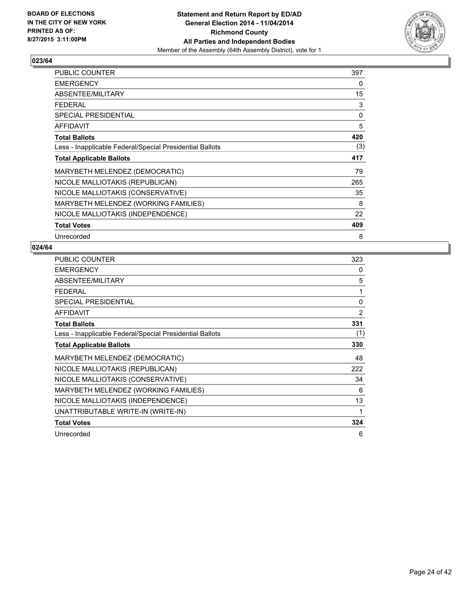

| <b>PUBLIC COUNTER</b>                                    | 397 |
|----------------------------------------------------------|-----|
| <b>EMERGENCY</b>                                         | 0   |
| ABSENTEE/MILITARY                                        | 15  |
| <b>FEDERAL</b>                                           | 3   |
| <b>SPECIAL PRESIDENTIAL</b>                              | 0   |
| AFFIDAVIT                                                | 5   |
| <b>Total Ballots</b>                                     | 420 |
| Less - Inapplicable Federal/Special Presidential Ballots | (3) |
| <b>Total Applicable Ballots</b>                          | 417 |
| MARYBETH MELENDEZ (DEMOCRATIC)                           | 79  |
| NICOLE MALLIOTAKIS (REPUBLICAN)                          | 265 |
| NICOLE MALLIOTAKIS (CONSERVATIVE)                        | 35  |
| MARYBETH MELENDEZ (WORKING FAMILIES)                     | 8   |
| NICOLE MALLIOTAKIS (INDEPENDENCE)                        | 22  |
| <b>Total Votes</b>                                       | 409 |
| Unrecorded                                               | 8   |

| PUBLIC COUNTER                                           | 323            |
|----------------------------------------------------------|----------------|
| <b>EMERGENCY</b>                                         | 0              |
| ABSENTEE/MILITARY                                        | 5              |
| <b>FEDERAL</b>                                           | 1              |
| <b>SPECIAL PRESIDENTIAL</b>                              | $\Omega$       |
| <b>AFFIDAVIT</b>                                         | $\overline{2}$ |
| <b>Total Ballots</b>                                     | 331            |
| Less - Inapplicable Federal/Special Presidential Ballots | (1)            |
| <b>Total Applicable Ballots</b>                          | 330            |
| MARYBETH MELENDEZ (DEMOCRATIC)                           | 48             |
| NICOLE MALLIOTAKIS (REPUBLICAN)                          | 222            |
| NICOLE MALLIOTAKIS (CONSERVATIVE)                        | 34             |
| MARYBETH MELENDEZ (WORKING FAMILIES)                     | 6              |
| NICOLE MALLIOTAKIS (INDEPENDENCE)                        | 13             |
| UNATTRIBUTABLE WRITE-IN (WRITE-IN)                       | 1              |
| <b>Total Votes</b>                                       | 324            |
| Unrecorded                                               | 6              |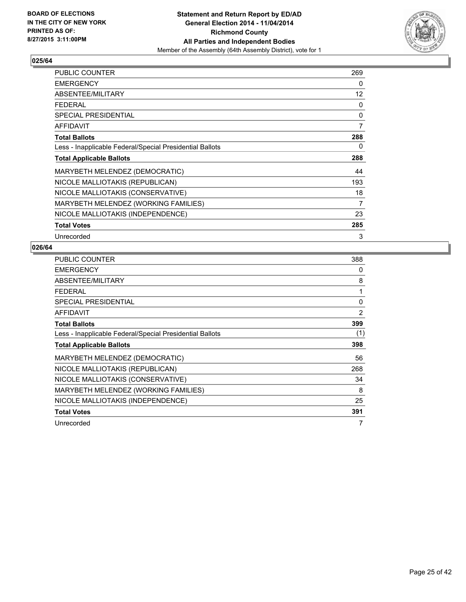

| <b>PUBLIC COUNTER</b>                                    | 269 |
|----------------------------------------------------------|-----|
| <b>EMERGENCY</b>                                         | 0   |
| ABSENTEE/MILITARY                                        | 12  |
| <b>FEDERAL</b>                                           | 0   |
| SPECIAL PRESIDENTIAL                                     | 0   |
| <b>AFFIDAVIT</b>                                         | 7   |
| <b>Total Ballots</b>                                     | 288 |
| Less - Inapplicable Federal/Special Presidential Ballots | 0   |
| <b>Total Applicable Ballots</b>                          | 288 |
| MARYBETH MELENDEZ (DEMOCRATIC)                           | 44  |
| NICOLE MALLIOTAKIS (REPUBLICAN)                          | 193 |
| NICOLE MALLIOTAKIS (CONSERVATIVE)                        | 18  |
| MARYBETH MELENDEZ (WORKING FAMILIES)                     | 7   |
| NICOLE MALLIOTAKIS (INDEPENDENCE)                        | 23  |
| <b>Total Votes</b>                                       | 285 |
| Unrecorded                                               | 3   |

| <b>PUBLIC COUNTER</b>                                    | 388 |
|----------------------------------------------------------|-----|
| <b>EMERGENCY</b>                                         | 0   |
| ABSENTEE/MILITARY                                        | 8   |
| <b>FEDERAL</b>                                           | 1   |
| <b>SPECIAL PRESIDENTIAL</b>                              | 0   |
| <b>AFFIDAVIT</b>                                         | 2   |
| <b>Total Ballots</b>                                     | 399 |
| Less - Inapplicable Federal/Special Presidential Ballots | (1) |
| <b>Total Applicable Ballots</b>                          | 398 |
| MARYBETH MELENDEZ (DEMOCRATIC)                           | 56  |
| NICOLE MALLIOTAKIS (REPUBLICAN)                          | 268 |
| NICOLE MALLIOTAKIS (CONSERVATIVE)                        | 34  |
| MARYBETH MELENDEZ (WORKING FAMILIES)                     | 8   |
| NICOLE MALLIOTAKIS (INDEPENDENCE)                        | 25  |
| <b>Total Votes</b>                                       | 391 |
| Unrecorded                                               | 7   |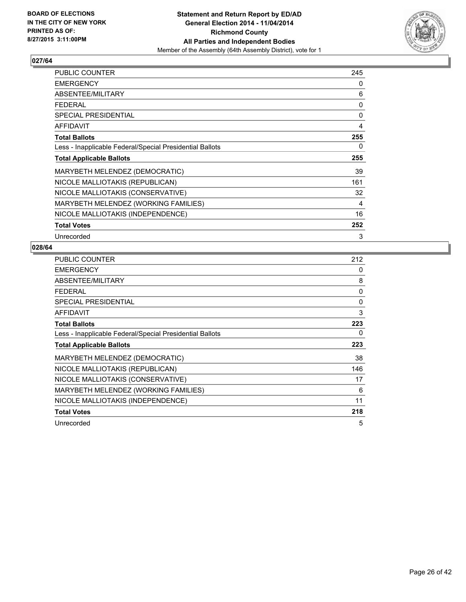

| <b>PUBLIC COUNTER</b>                                    | 245 |
|----------------------------------------------------------|-----|
| <b>EMERGENCY</b>                                         | 0   |
| ABSENTEE/MILITARY                                        | 6   |
| <b>FEDERAL</b>                                           | 0   |
| SPECIAL PRESIDENTIAL                                     | 0   |
| <b>AFFIDAVIT</b>                                         | 4   |
| <b>Total Ballots</b>                                     | 255 |
| Less - Inapplicable Federal/Special Presidential Ballots | 0   |
| <b>Total Applicable Ballots</b>                          | 255 |
| MARYBETH MELENDEZ (DEMOCRATIC)                           | 39  |
| NICOLE MALLIOTAKIS (REPUBLICAN)                          | 161 |
| NICOLE MALLIOTAKIS (CONSERVATIVE)                        | 32  |
| MARYBETH MELENDEZ (WORKING FAMILIES)                     | 4   |
| NICOLE MALLIOTAKIS (INDEPENDENCE)                        | 16  |
| <b>Total Votes</b>                                       | 252 |
| Unrecorded                                               | 3   |

| PUBLIC COUNTER                                           | 212 |
|----------------------------------------------------------|-----|
| <b>EMERGENCY</b>                                         | 0   |
| ABSENTEE/MILITARY                                        | 8   |
| <b>FEDERAL</b>                                           | 0   |
| <b>SPECIAL PRESIDENTIAL</b>                              | 0   |
| <b>AFFIDAVIT</b>                                         | 3   |
| <b>Total Ballots</b>                                     | 223 |
| Less - Inapplicable Federal/Special Presidential Ballots | 0   |
| <b>Total Applicable Ballots</b>                          | 223 |
| MARYBETH MELENDEZ (DEMOCRATIC)                           | 38  |
| NICOLE MALLIOTAKIS (REPUBLICAN)                          | 146 |
| NICOLE MALLIOTAKIS (CONSERVATIVE)                        | 17  |
| MARYBETH MELENDEZ (WORKING FAMILIES)                     | 6   |
| NICOLE MALLIOTAKIS (INDEPENDENCE)                        | 11  |
| <b>Total Votes</b>                                       | 218 |
| Unrecorded                                               | 5   |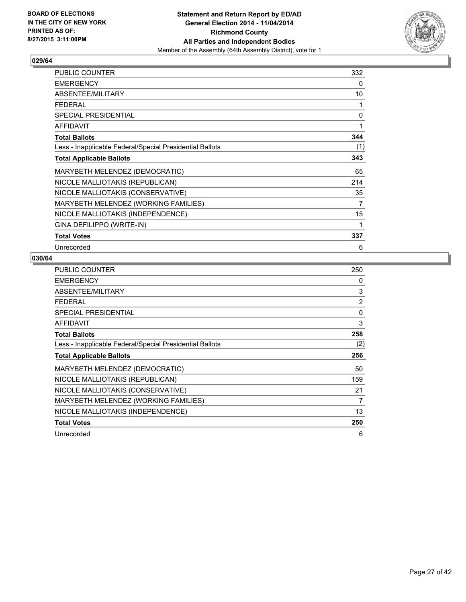

| <b>PUBLIC COUNTER</b>                                    | 332 |
|----------------------------------------------------------|-----|
| <b>EMERGENCY</b>                                         | 0   |
| ABSENTEE/MILITARY                                        | 10  |
| <b>FEDERAL</b>                                           | 1   |
| <b>SPECIAL PRESIDENTIAL</b>                              | 0   |
| <b>AFFIDAVIT</b>                                         | 1   |
| <b>Total Ballots</b>                                     | 344 |
| Less - Inapplicable Federal/Special Presidential Ballots | (1) |
| <b>Total Applicable Ballots</b>                          | 343 |
| MARYBETH MELENDEZ (DEMOCRATIC)                           | 65  |
| NICOLE MALLIOTAKIS (REPUBLICAN)                          | 214 |
| NICOLE MALLIOTAKIS (CONSERVATIVE)                        | 35  |
| MARYBETH MELENDEZ (WORKING FAMILIES)                     | 7   |
| NICOLE MALLIOTAKIS (INDEPENDENCE)                        | 15  |
| GINA DEFILIPPO (WRITE-IN)                                | 1   |
| <b>Total Votes</b>                                       | 337 |
| Unrecorded                                               | 6   |

| <b>PUBLIC COUNTER</b>                                    | 250            |
|----------------------------------------------------------|----------------|
| <b>EMERGENCY</b>                                         | 0              |
| ABSENTEE/MILITARY                                        | 3              |
| <b>FEDERAL</b>                                           | $\overline{2}$ |
| <b>SPECIAL PRESIDENTIAL</b>                              | 0              |
| <b>AFFIDAVIT</b>                                         | 3              |
| <b>Total Ballots</b>                                     | 258            |
| Less - Inapplicable Federal/Special Presidential Ballots | (2)            |
| <b>Total Applicable Ballots</b>                          | 256            |
| MARYBETH MELENDEZ (DEMOCRATIC)                           | 50             |
| NICOLE MALLIOTAKIS (REPUBLICAN)                          | 159            |
| NICOLE MALLIOTAKIS (CONSERVATIVE)                        | 21             |
| MARYBETH MELENDEZ (WORKING FAMILIES)                     | 7              |
| NICOLE MALLIOTAKIS (INDEPENDENCE)                        | 13             |
| <b>Total Votes</b>                                       | 250            |
| Unrecorded                                               | 6              |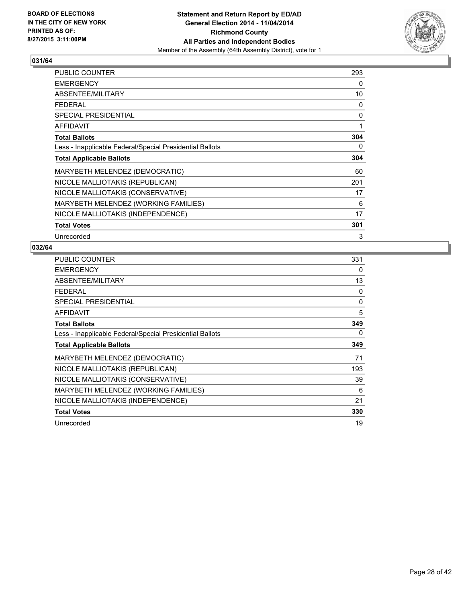

| <b>PUBLIC COUNTER</b>                                    | 293 |
|----------------------------------------------------------|-----|
| <b>EMERGENCY</b>                                         | 0   |
| ABSENTEE/MILITARY                                        | 10  |
| <b>FEDERAL</b>                                           | 0   |
| <b>SPECIAL PRESIDENTIAL</b>                              | 0   |
| <b>AFFIDAVIT</b>                                         | 1   |
| <b>Total Ballots</b>                                     | 304 |
| Less - Inapplicable Federal/Special Presidential Ballots | 0   |
| <b>Total Applicable Ballots</b>                          | 304 |
| MARYBETH MELENDEZ (DEMOCRATIC)                           | 60  |
| NICOLE MALLIOTAKIS (REPUBLICAN)                          | 201 |
| NICOLE MALLIOTAKIS (CONSERVATIVE)                        | 17  |
| MARYBETH MELENDEZ (WORKING FAMILIES)                     | 6   |
| NICOLE MALLIOTAKIS (INDEPENDENCE)                        | 17  |
| <b>Total Votes</b>                                       | 301 |
| Unrecorded                                               | 3   |

| PUBLIC COUNTER                                           | 331 |
|----------------------------------------------------------|-----|
| <b>EMERGENCY</b>                                         | 0   |
| ABSENTEE/MILITARY                                        | 13  |
| <b>FEDERAL</b>                                           | 0   |
| <b>SPECIAL PRESIDENTIAL</b>                              | 0   |
| <b>AFFIDAVIT</b>                                         | 5   |
| <b>Total Ballots</b>                                     | 349 |
| Less - Inapplicable Federal/Special Presidential Ballots | 0   |
| <b>Total Applicable Ballots</b>                          | 349 |
| MARYBETH MELENDEZ (DEMOCRATIC)                           | 71  |
| NICOLE MALLIOTAKIS (REPUBLICAN)                          | 193 |
| NICOLE MALLIOTAKIS (CONSERVATIVE)                        | 39  |
| MARYBETH MELENDEZ (WORKING FAMILIES)                     | 6   |
| NICOLE MALLIOTAKIS (INDEPENDENCE)                        | 21  |
| <b>Total Votes</b>                                       | 330 |
| Unrecorded                                               | 19  |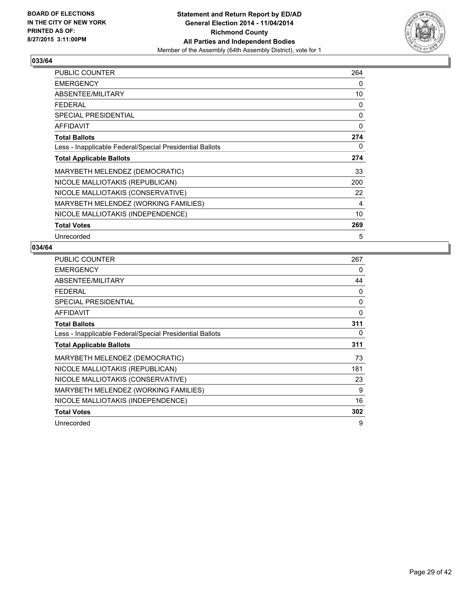

| <b>PUBLIC COUNTER</b>                                    | 264 |
|----------------------------------------------------------|-----|
| <b>EMERGENCY</b>                                         | 0   |
| ABSENTEE/MILITARY                                        | 10  |
| <b>FEDERAL</b>                                           | 0   |
| <b>SPECIAL PRESIDENTIAL</b>                              | 0   |
| <b>AFFIDAVIT</b>                                         | 0   |
| <b>Total Ballots</b>                                     | 274 |
| Less - Inapplicable Federal/Special Presidential Ballots | 0   |
| <b>Total Applicable Ballots</b>                          | 274 |
| MARYBETH MELENDEZ (DEMOCRATIC)                           | 33  |
| NICOLE MALLIOTAKIS (REPUBLICAN)                          | 200 |
| NICOLE MALLIOTAKIS (CONSERVATIVE)                        | 22  |
| MARYBETH MELENDEZ (WORKING FAMILIES)                     | 4   |
| NICOLE MALLIOTAKIS (INDEPENDENCE)                        | 10  |
| <b>Total Votes</b>                                       | 269 |
| Unrecorded                                               | 5   |

| <b>PUBLIC COUNTER</b>                                    | 267 |
|----------------------------------------------------------|-----|
| <b>EMERGENCY</b>                                         | 0   |
| ABSENTEE/MILITARY                                        | 44  |
| <b>FEDERAL</b>                                           | 0   |
| <b>SPECIAL PRESIDENTIAL</b>                              | 0   |
| <b>AFFIDAVIT</b>                                         | 0   |
| <b>Total Ballots</b>                                     | 311 |
| Less - Inapplicable Federal/Special Presidential Ballots | 0   |
| <b>Total Applicable Ballots</b>                          | 311 |
| MARYBETH MELENDEZ (DEMOCRATIC)                           | 73  |
| NICOLE MALLIOTAKIS (REPUBLICAN)                          | 181 |
| NICOLE MALLIOTAKIS (CONSERVATIVE)                        | 23  |
| MARYBETH MELENDEZ (WORKING FAMILIES)                     | 9   |
| NICOLE MALLIOTAKIS (INDEPENDENCE)                        | 16  |
| <b>Total Votes</b>                                       | 302 |
| Unrecorded                                               | 9   |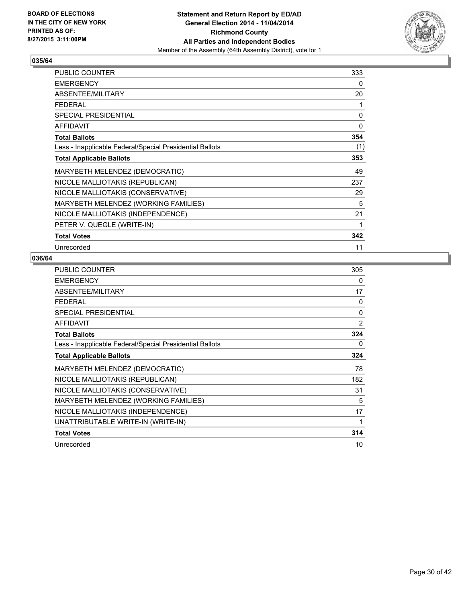

| <b>PUBLIC COUNTER</b>                                    | 333 |
|----------------------------------------------------------|-----|
| <b>EMERGENCY</b>                                         | 0   |
| ABSENTEE/MILITARY                                        | 20  |
| <b>FEDERAL</b>                                           | 1   |
| <b>SPECIAL PRESIDENTIAL</b>                              | 0   |
| <b>AFFIDAVIT</b>                                         | 0   |
| <b>Total Ballots</b>                                     | 354 |
| Less - Inapplicable Federal/Special Presidential Ballots | (1) |
| <b>Total Applicable Ballots</b>                          | 353 |
| MARYBETH MELENDEZ (DEMOCRATIC)                           | 49  |
| NICOLE MALLIOTAKIS (REPUBLICAN)                          | 237 |
| NICOLE MALLIOTAKIS (CONSERVATIVE)                        | 29  |
| MARYBETH MELENDEZ (WORKING FAMILIES)                     | 5   |
| NICOLE MALLIOTAKIS (INDEPENDENCE)                        | 21  |
| PETER V. QUEGLE (WRITE-IN)                               | 1   |
| <b>Total Votes</b>                                       | 342 |
| Unrecorded                                               | 11  |

| <b>PUBLIC COUNTER</b>                                    | 305 |
|----------------------------------------------------------|-----|
| <b>EMERGENCY</b>                                         | 0   |
| ABSENTEE/MILITARY                                        | 17  |
| <b>FEDERAL</b>                                           | 0   |
| <b>SPECIAL PRESIDENTIAL</b>                              | 0   |
| <b>AFFIDAVIT</b>                                         | 2   |
| <b>Total Ballots</b>                                     | 324 |
| Less - Inapplicable Federal/Special Presidential Ballots | 0   |
| <b>Total Applicable Ballots</b>                          | 324 |
| MARYBETH MELENDEZ (DEMOCRATIC)                           | 78  |
| NICOLE MALLIOTAKIS (REPUBLICAN)                          | 182 |
| NICOLE MALLIOTAKIS (CONSERVATIVE)                        | 31  |
| MARYBETH MELENDEZ (WORKING FAMILIES)                     | 5   |
| NICOLE MALLIOTAKIS (INDEPENDENCE)                        | 17  |
| UNATTRIBUTABLE WRITE-IN (WRITE-IN)                       | 1   |
| <b>Total Votes</b>                                       | 314 |
| Unrecorded                                               | 10  |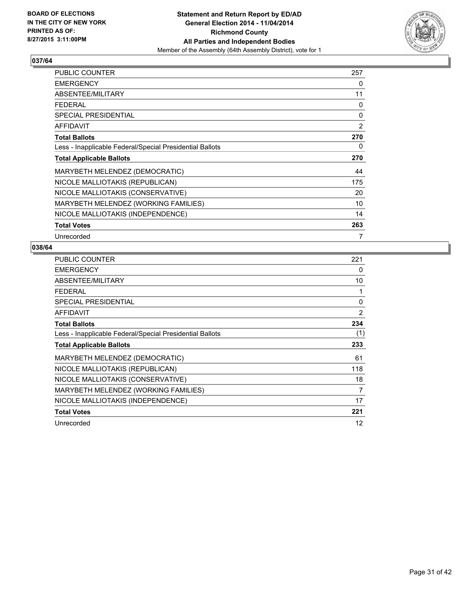

| <b>PUBLIC COUNTER</b>                                    | 257 |
|----------------------------------------------------------|-----|
| <b>EMERGENCY</b>                                         | 0   |
| ABSENTEE/MILITARY                                        | 11  |
| <b>FEDERAL</b>                                           | 0   |
| SPECIAL PRESIDENTIAL                                     | 0   |
| AFFIDAVIT                                                | 2   |
| <b>Total Ballots</b>                                     | 270 |
| Less - Inapplicable Federal/Special Presidential Ballots | 0   |
| <b>Total Applicable Ballots</b>                          | 270 |
| MARYBETH MELENDEZ (DEMOCRATIC)                           | 44  |
| NICOLE MALLIOTAKIS (REPUBLICAN)                          | 175 |
| NICOLE MALLIOTAKIS (CONSERVATIVE)                        | 20  |
| MARYBETH MELENDEZ (WORKING FAMILIES)                     | 10  |
| NICOLE MALLIOTAKIS (INDEPENDENCE)                        | 14  |
| <b>Total Votes</b>                                       | 263 |
| Unrecorded                                               | 7   |

| <b>PUBLIC COUNTER</b>                                    | 221 |
|----------------------------------------------------------|-----|
| <b>EMERGENCY</b>                                         | 0   |
| ABSENTEE/MILITARY                                        | 10  |
| <b>FEDERAL</b>                                           | 1   |
| <b>SPECIAL PRESIDENTIAL</b>                              | 0   |
| <b>AFFIDAVIT</b>                                         | 2   |
| <b>Total Ballots</b>                                     | 234 |
| Less - Inapplicable Federal/Special Presidential Ballots | (1) |
| <b>Total Applicable Ballots</b>                          | 233 |
| MARYBETH MELENDEZ (DEMOCRATIC)                           | 61  |
| NICOLE MALLIOTAKIS (REPUBLICAN)                          | 118 |
| NICOLE MALLIOTAKIS (CONSERVATIVE)                        | 18  |
| MARYBETH MELENDEZ (WORKING FAMILIES)                     | 7   |
| NICOLE MALLIOTAKIS (INDEPENDENCE)                        | 17  |
| <b>Total Votes</b>                                       | 221 |
| Unrecorded                                               | 12  |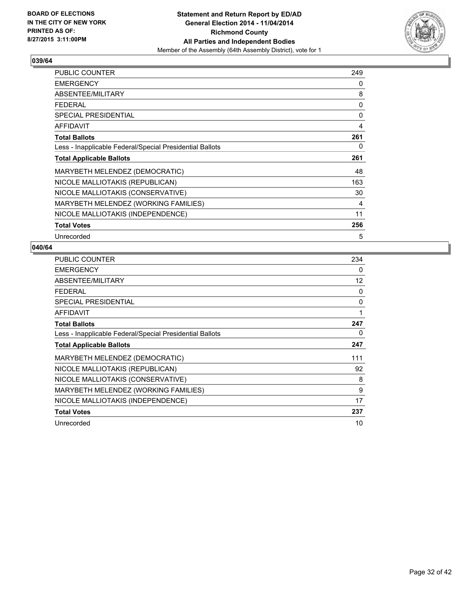

| <b>PUBLIC COUNTER</b>                                    | 249 |
|----------------------------------------------------------|-----|
| <b>EMERGENCY</b>                                         | 0   |
| ABSENTEE/MILITARY                                        | 8   |
| <b>FEDERAL</b>                                           | 0   |
| <b>SPECIAL PRESIDENTIAL</b>                              | 0   |
| <b>AFFIDAVIT</b>                                         | 4   |
| <b>Total Ballots</b>                                     | 261 |
| Less - Inapplicable Federal/Special Presidential Ballots | 0   |
| <b>Total Applicable Ballots</b>                          | 261 |
| MARYBETH MELENDEZ (DEMOCRATIC)                           | 48  |
| NICOLE MALLIOTAKIS (REPUBLICAN)                          | 163 |
| NICOLE MALLIOTAKIS (CONSERVATIVE)                        | 30  |
| MARYBETH MELENDEZ (WORKING FAMILIES)                     | 4   |
| NICOLE MALLIOTAKIS (INDEPENDENCE)                        | 11  |
| <b>Total Votes</b>                                       | 256 |
| Unrecorded                                               | 5   |

| PUBLIC COUNTER                                           | 234 |
|----------------------------------------------------------|-----|
| <b>EMERGENCY</b>                                         | 0   |
| ABSENTEE/MILITARY                                        | 12  |
| <b>FEDERAL</b>                                           | 0   |
| <b>SPECIAL PRESIDENTIAL</b>                              | 0   |
| <b>AFFIDAVIT</b>                                         | 1   |
| <b>Total Ballots</b>                                     | 247 |
| Less - Inapplicable Federal/Special Presidential Ballots | 0   |
| <b>Total Applicable Ballots</b>                          | 247 |
| MARYBETH MELENDEZ (DEMOCRATIC)                           | 111 |
| NICOLE MALLIOTAKIS (REPUBLICAN)                          | 92  |
| NICOLE MALLIOTAKIS (CONSERVATIVE)                        | 8   |
| MARYBETH MELENDEZ (WORKING FAMILIES)                     | 9   |
| NICOLE MALLIOTAKIS (INDEPENDENCE)                        | 17  |
| <b>Total Votes</b>                                       | 237 |
| Unrecorded                                               | 10  |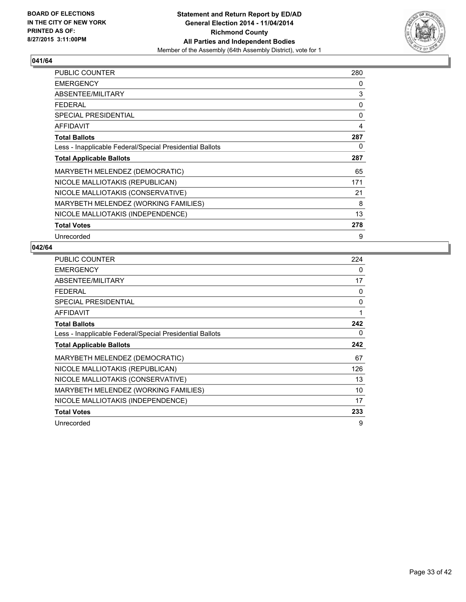

| <b>PUBLIC COUNTER</b>                                    | 280 |
|----------------------------------------------------------|-----|
| <b>EMERGENCY</b>                                         | 0   |
| ABSENTEE/MILITARY                                        | 3   |
| <b>FEDERAL</b>                                           | 0   |
| <b>SPECIAL PRESIDENTIAL</b>                              | 0   |
| AFFIDAVIT                                                | 4   |
| <b>Total Ballots</b>                                     | 287 |
| Less - Inapplicable Federal/Special Presidential Ballots | 0   |
| <b>Total Applicable Ballots</b>                          | 287 |
| MARYBETH MELENDEZ (DEMOCRATIC)                           | 65  |
| NICOLE MALLIOTAKIS (REPUBLICAN)                          | 171 |
| NICOLE MALLIOTAKIS (CONSERVATIVE)                        | 21  |
| MARYBETH MELENDEZ (WORKING FAMILIES)                     | 8   |
| NICOLE MALLIOTAKIS (INDEPENDENCE)                        | 13  |
| <b>Total Votes</b>                                       | 278 |
| Unrecorded                                               | 9   |

| PUBLIC COUNTER                                           | 224 |
|----------------------------------------------------------|-----|
| <b>EMERGENCY</b>                                         | 0   |
| ABSENTEE/MILITARY                                        | 17  |
| <b>FEDERAL</b>                                           | 0   |
| <b>SPECIAL PRESIDENTIAL</b>                              | 0   |
| <b>AFFIDAVIT</b>                                         | 1   |
| <b>Total Ballots</b>                                     | 242 |
| Less - Inapplicable Federal/Special Presidential Ballots | 0   |
| <b>Total Applicable Ballots</b>                          | 242 |
| MARYBETH MELENDEZ (DEMOCRATIC)                           | 67  |
| NICOLE MALLIOTAKIS (REPUBLICAN)                          | 126 |
| NICOLE MALLIOTAKIS (CONSERVATIVE)                        | 13  |
| MARYBETH MELENDEZ (WORKING FAMILIES)                     | 10  |
| NICOLE MALLIOTAKIS (INDEPENDENCE)                        | 17  |
| <b>Total Votes</b>                                       | 233 |
| Unrecorded                                               | 9   |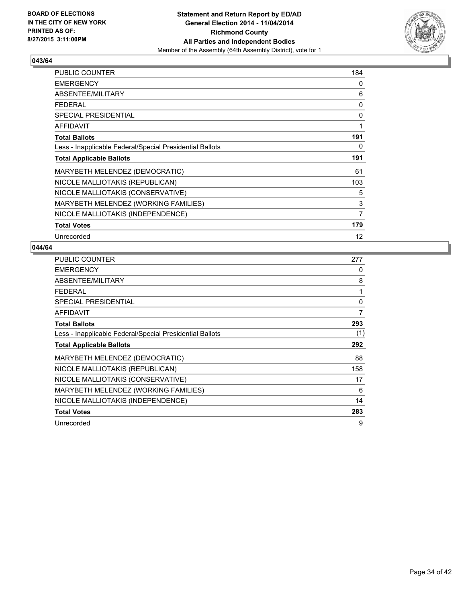

| <b>PUBLIC COUNTER</b>                                    | 184 |
|----------------------------------------------------------|-----|
| <b>EMERGENCY</b>                                         | 0   |
| ABSENTEE/MILITARY                                        | 6   |
| <b>FEDERAL</b>                                           | 0   |
| <b>SPECIAL PRESIDENTIAL</b>                              | 0   |
| <b>AFFIDAVIT</b>                                         | 1   |
| <b>Total Ballots</b>                                     | 191 |
| Less - Inapplicable Federal/Special Presidential Ballots | 0   |
| <b>Total Applicable Ballots</b>                          | 191 |
| MARYBETH MELENDEZ (DEMOCRATIC)                           | 61  |
| NICOLE MALLIOTAKIS (REPUBLICAN)                          | 103 |
| NICOLE MALLIOTAKIS (CONSERVATIVE)                        | 5   |
| MARYBETH MELENDEZ (WORKING FAMILIES)                     | 3   |
| NICOLE MALLIOTAKIS (INDEPENDENCE)                        | 7   |
| <b>Total Votes</b>                                       | 179 |
| Unrecorded                                               | 12  |

| PUBLIC COUNTER                                           | 277 |
|----------------------------------------------------------|-----|
| <b>EMERGENCY</b>                                         | 0   |
| ABSENTEE/MILITARY                                        | 8   |
| <b>FEDERAL</b>                                           | 1   |
| <b>SPECIAL PRESIDENTIAL</b>                              | 0   |
| <b>AFFIDAVIT</b>                                         | 7   |
| <b>Total Ballots</b>                                     | 293 |
| Less - Inapplicable Federal/Special Presidential Ballots | (1) |
| <b>Total Applicable Ballots</b>                          | 292 |
| MARYBETH MELENDEZ (DEMOCRATIC)                           | 88  |
| NICOLE MALLIOTAKIS (REPUBLICAN)                          | 158 |
| NICOLE MALLIOTAKIS (CONSERVATIVE)                        | 17  |
| MARYBETH MELENDEZ (WORKING FAMILIES)                     | 6   |
| NICOLE MALLIOTAKIS (INDEPENDENCE)                        | 14  |
| <b>Total Votes</b>                                       | 283 |
| Unrecorded                                               | 9   |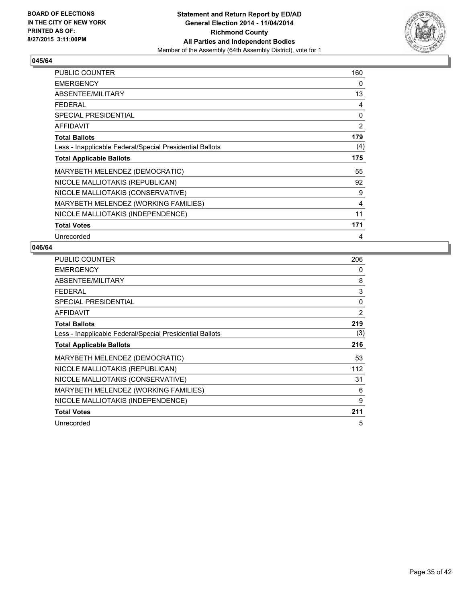

| <b>PUBLIC COUNTER</b>                                    | 160 |
|----------------------------------------------------------|-----|
| <b>EMERGENCY</b>                                         | 0   |
| ABSENTEE/MILITARY                                        | 13  |
| <b>FEDERAL</b>                                           | 4   |
| <b>SPECIAL PRESIDENTIAL</b>                              | 0   |
| <b>AFFIDAVIT</b>                                         | 2   |
| <b>Total Ballots</b>                                     | 179 |
| Less - Inapplicable Federal/Special Presidential Ballots | (4) |
| <b>Total Applicable Ballots</b>                          | 175 |
| MARYBETH MELENDEZ (DEMOCRATIC)                           | 55  |
| NICOLE MALLIOTAKIS (REPUBLICAN)                          | 92  |
| NICOLE MALLIOTAKIS (CONSERVATIVE)                        | 9   |
| MARYBETH MELENDEZ (WORKING FAMILIES)                     | 4   |
| NICOLE MALLIOTAKIS (INDEPENDENCE)                        | 11  |
| <b>Total Votes</b>                                       | 171 |
| Unrecorded                                               | 4   |

| PUBLIC COUNTER                                           | 206 |
|----------------------------------------------------------|-----|
| <b>EMERGENCY</b>                                         | 0   |
| ABSENTEE/MILITARY                                        | 8   |
| <b>FEDERAL</b>                                           | 3   |
| SPECIAL PRESIDENTIAL                                     | 0   |
| <b>AFFIDAVIT</b>                                         | 2   |
| <b>Total Ballots</b>                                     | 219 |
| Less - Inapplicable Federal/Special Presidential Ballots | (3) |
| <b>Total Applicable Ballots</b>                          | 216 |
| MARYBETH MELENDEZ (DEMOCRATIC)                           | 53  |
| NICOLE MALLIOTAKIS (REPUBLICAN)                          | 112 |
| NICOLE MALLIOTAKIS (CONSERVATIVE)                        | 31  |
| MARYBETH MELENDEZ (WORKING FAMILIES)                     | 6   |
| NICOLE MALLIOTAKIS (INDEPENDENCE)                        | 9   |
| <b>Total Votes</b>                                       | 211 |
| Unrecorded                                               | 5   |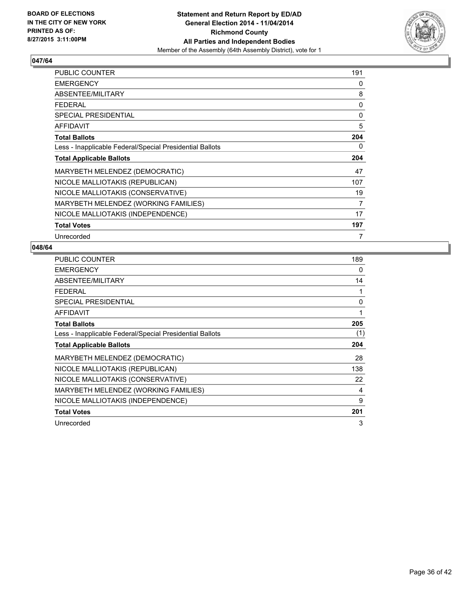

| <b>PUBLIC COUNTER</b>                                    | 191 |
|----------------------------------------------------------|-----|
| <b>EMERGENCY</b>                                         | 0   |
| ABSENTEE/MILITARY                                        | 8   |
| <b>FEDERAL</b>                                           | 0   |
| <b>SPECIAL PRESIDENTIAL</b>                              | 0   |
| <b>AFFIDAVIT</b>                                         | 5   |
| <b>Total Ballots</b>                                     | 204 |
| Less - Inapplicable Federal/Special Presidential Ballots | 0   |
| <b>Total Applicable Ballots</b>                          | 204 |
| MARYBETH MELENDEZ (DEMOCRATIC)                           | 47  |
| NICOLE MALLIOTAKIS (REPUBLICAN)                          | 107 |
| NICOLE MALLIOTAKIS (CONSERVATIVE)                        | 19  |
| MARYBETH MELENDEZ (WORKING FAMILIES)                     | 7   |
| NICOLE MALLIOTAKIS (INDEPENDENCE)                        | 17  |
| <b>Total Votes</b>                                       | 197 |
| Unrecorded                                               | 7   |

| <b>PUBLIC COUNTER</b>                                    | 189 |
|----------------------------------------------------------|-----|
| <b>EMERGENCY</b>                                         | 0   |
| ABSENTEE/MILITARY                                        | 14  |
| <b>FEDERAL</b>                                           | 1   |
| <b>SPECIAL PRESIDENTIAL</b>                              | 0   |
| <b>AFFIDAVIT</b>                                         | 1   |
| <b>Total Ballots</b>                                     | 205 |
| Less - Inapplicable Federal/Special Presidential Ballots | (1) |
| <b>Total Applicable Ballots</b>                          | 204 |
| MARYBETH MELENDEZ (DEMOCRATIC)                           | 28  |
| NICOLE MALLIOTAKIS (REPUBLICAN)                          | 138 |
| NICOLE MALLIOTAKIS (CONSERVATIVE)                        | 22  |
| MARYBETH MELENDEZ (WORKING FAMILIES)                     | 4   |
| NICOLE MALLIOTAKIS (INDEPENDENCE)                        | 9   |
| <b>Total Votes</b>                                       | 201 |
| Unrecorded                                               | 3   |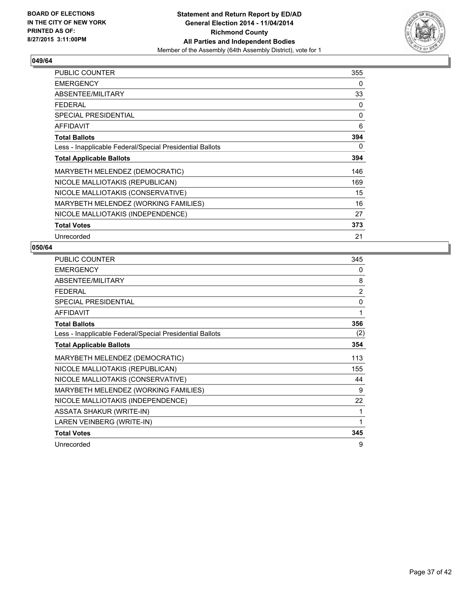

| <b>PUBLIC COUNTER</b>                                    | 355 |
|----------------------------------------------------------|-----|
| <b>EMERGENCY</b>                                         | 0   |
| ABSENTEE/MILITARY                                        | 33  |
| <b>FEDERAL</b>                                           | 0   |
| <b>SPECIAL PRESIDENTIAL</b>                              | 0   |
| <b>AFFIDAVIT</b>                                         | 6   |
| <b>Total Ballots</b>                                     | 394 |
| Less - Inapplicable Federal/Special Presidential Ballots | 0   |
| <b>Total Applicable Ballots</b>                          | 394 |
| MARYBETH MELENDEZ (DEMOCRATIC)                           | 146 |
| NICOLE MALLIOTAKIS (REPUBLICAN)                          | 169 |
| NICOLE MALLIOTAKIS (CONSERVATIVE)                        | 15  |
| MARYBETH MELENDEZ (WORKING FAMILIES)                     | 16  |
| NICOLE MALLIOTAKIS (INDEPENDENCE)                        | 27  |
| <b>Total Votes</b>                                       | 373 |
| Unrecorded                                               | 21  |

| <b>PUBLIC COUNTER</b>                                    | 345            |
|----------------------------------------------------------|----------------|
| <b>EMERGENCY</b>                                         | 0              |
| ABSENTEE/MILITARY                                        | 8              |
| <b>FEDERAL</b>                                           | $\overline{2}$ |
| SPECIAL PRESIDENTIAL                                     | $\mathbf{0}$   |
| <b>AFFIDAVIT</b>                                         | 1              |
| <b>Total Ballots</b>                                     | 356            |
| Less - Inapplicable Federal/Special Presidential Ballots | (2)            |
| <b>Total Applicable Ballots</b>                          | 354            |
| MARYBETH MELENDEZ (DEMOCRATIC)                           | 113            |
| NICOLE MALLIOTAKIS (REPUBLICAN)                          | 155            |
| NICOLE MALLIOTAKIS (CONSERVATIVE)                        | 44             |
| MARYBETH MELENDEZ (WORKING FAMILIES)                     | 9              |
| NICOLE MALLIOTAKIS (INDEPENDENCE)                        | 22             |
| <b>ASSATA SHAKUR (WRITE-IN)</b>                          | 1              |
| LAREN VEINBERG (WRITE-IN)                                | 1              |
| <b>Total Votes</b>                                       | 345            |
| Unrecorded                                               | 9              |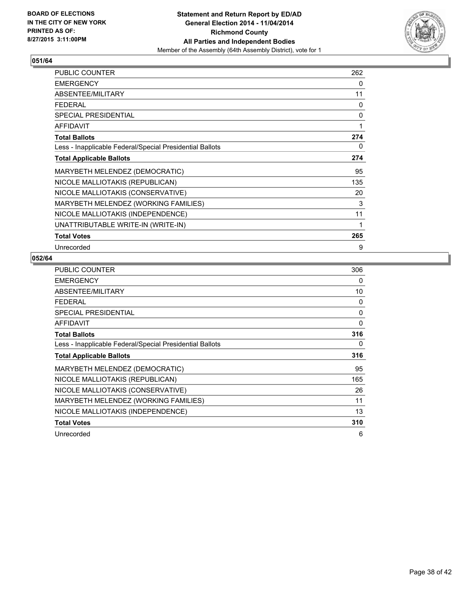

| <b>PUBLIC COUNTER</b>                                    | 262 |
|----------------------------------------------------------|-----|
| <b>EMERGENCY</b>                                         | 0   |
| ABSENTEE/MILITARY                                        | 11  |
| <b>FEDERAL</b>                                           | 0   |
| <b>SPECIAL PRESIDENTIAL</b>                              | 0   |
| <b>AFFIDAVIT</b>                                         | 1   |
| <b>Total Ballots</b>                                     | 274 |
| Less - Inapplicable Federal/Special Presidential Ballots | 0   |
| <b>Total Applicable Ballots</b>                          | 274 |
| MARYBETH MELENDEZ (DEMOCRATIC)                           | 95  |
| NICOLE MALLIOTAKIS (REPUBLICAN)                          | 135 |
| NICOLE MALLIOTAKIS (CONSERVATIVE)                        | 20  |
| MARYBETH MELENDEZ (WORKING FAMILIES)                     | 3   |
| NICOLE MALLIOTAKIS (INDEPENDENCE)                        | 11  |
| UNATTRIBUTABLE WRITE-IN (WRITE-IN)                       | 1   |
| <b>Total Votes</b>                                       | 265 |
| Unrecorded                                               | 9   |

| <b>PUBLIC COUNTER</b>                                    | 306      |
|----------------------------------------------------------|----------|
| <b>EMERGENCY</b>                                         | 0        |
| ABSENTEE/MILITARY                                        | 10       |
| <b>FEDERAL</b>                                           | 0        |
| SPECIAL PRESIDENTIAL                                     | 0        |
| <b>AFFIDAVIT</b>                                         | $\Omega$ |
| <b>Total Ballots</b>                                     | 316      |
| Less - Inapplicable Federal/Special Presidential Ballots | 0        |
| <b>Total Applicable Ballots</b>                          | 316      |
| MARYBETH MELENDEZ (DEMOCRATIC)                           | 95       |
| NICOLE MALLIOTAKIS (REPUBLICAN)                          | 165      |
| NICOLE MALLIOTAKIS (CONSERVATIVE)                        | 26       |
| MARYBETH MELENDEZ (WORKING FAMILIES)                     | 11       |
| NICOLE MALLIOTAKIS (INDEPENDENCE)                        | 13       |
| <b>Total Votes</b>                                       | 310      |
| Unrecorded                                               | 6        |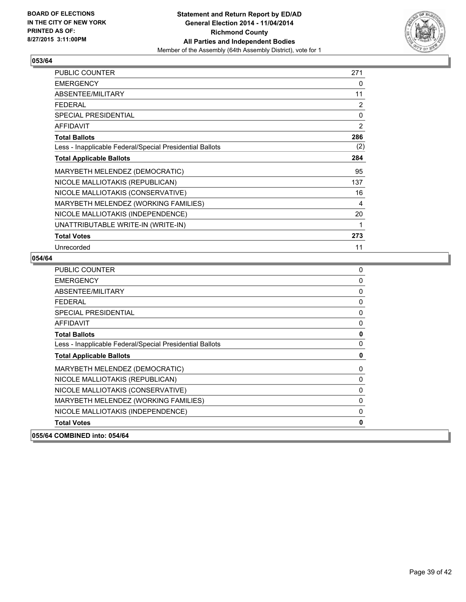

| <b>PUBLIC COUNTER</b>                                    | 271            |
|----------------------------------------------------------|----------------|
| <b>EMERGENCY</b>                                         | 0              |
| ABSENTEE/MILITARY                                        | 11             |
| <b>FEDERAL</b>                                           | $\overline{2}$ |
| <b>SPECIAL PRESIDENTIAL</b>                              | $\mathbf{0}$   |
| <b>AFFIDAVIT</b>                                         | $\overline{2}$ |
| <b>Total Ballots</b>                                     | 286            |
| Less - Inapplicable Federal/Special Presidential Ballots | (2)            |
| <b>Total Applicable Ballots</b>                          | 284            |
| MARYBETH MELENDEZ (DEMOCRATIC)                           | 95             |
| NICOLE MALLIOTAKIS (REPUBLICAN)                          | 137            |
| NICOLE MALLIOTAKIS (CONSERVATIVE)                        | 16             |
| MARYBETH MELENDEZ (WORKING FAMILIES)                     | 4              |
| NICOLE MALLIOTAKIS (INDEPENDENCE)                        | 20             |
| UNATTRIBUTABLE WRITE-IN (WRITE-IN)                       |                |
| <b>Total Votes</b>                                       | 273            |
| Unrecorded                                               | 11             |

| PUBLIC COUNTER                                           | 0           |
|----------------------------------------------------------|-------------|
| <b>EMERGENCY</b>                                         | 0           |
| ABSENTEE/MILITARY                                        | 0           |
| <b>FEDERAL</b>                                           | 0           |
| <b>SPECIAL PRESIDENTIAL</b>                              | $\pmb{0}$   |
| <b>AFFIDAVIT</b>                                         | 0           |
| <b>Total Ballots</b>                                     | $\mathbf 0$ |
| Less - Inapplicable Federal/Special Presidential Ballots | 0           |
| <b>Total Applicable Ballots</b>                          | 0           |
| MARYBETH MELENDEZ (DEMOCRATIC)                           | 0           |
| NICOLE MALLIOTAKIS (REPUBLICAN)                          | 0           |
| NICOLE MALLIOTAKIS (CONSERVATIVE)                        | $\mathbf 0$ |
| MARYBETH MELENDEZ (WORKING FAMILIES)                     | 0           |
| NICOLE MALLIOTAKIS (INDEPENDENCE)                        | 0           |
| <b>Total Votes</b>                                       | $\mathbf 0$ |
| 055/64 COMBINED into: 054/64                             |             |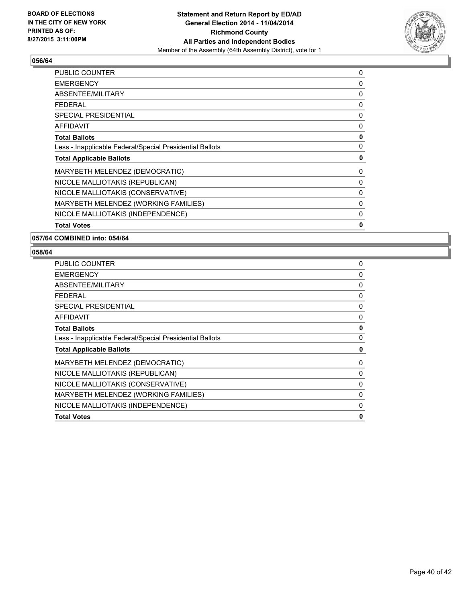

| <b>PUBLIC COUNTER</b>                                    | 0 |
|----------------------------------------------------------|---|
| <b>EMERGENCY</b>                                         | 0 |
| ABSENTEE/MILITARY                                        | 0 |
| <b>FEDERAL</b>                                           | 0 |
| <b>SPECIAL PRESIDENTIAL</b>                              | 0 |
| <b>AFFIDAVIT</b>                                         | 0 |
| <b>Total Ballots</b>                                     | 0 |
| Less - Inapplicable Federal/Special Presidential Ballots | 0 |
| <b>Total Applicable Ballots</b>                          | 0 |
| MARYBETH MELENDEZ (DEMOCRATIC)                           | 0 |
| NICOLE MALLIOTAKIS (REPUBLICAN)                          | 0 |
| NICOLE MALLIOTAKIS (CONSERVATIVE)                        | 0 |
| MARYBETH MELENDEZ (WORKING FAMILIES)                     | 0 |
| NICOLE MALLIOTAKIS (INDEPENDENCE)                        | 0 |
| <b>Total Votes</b>                                       | 0 |
|                                                          |   |

**057/64 COMBINED into: 054/64**

| 0        |
|----------|
| 0        |
| 0        |
| 0        |
| 0        |
| 0        |
| 0        |
| 0        |
| 0        |
| 0        |
| 0        |
| 0        |
| $\Omega$ |
| 0        |
| 0        |
|          |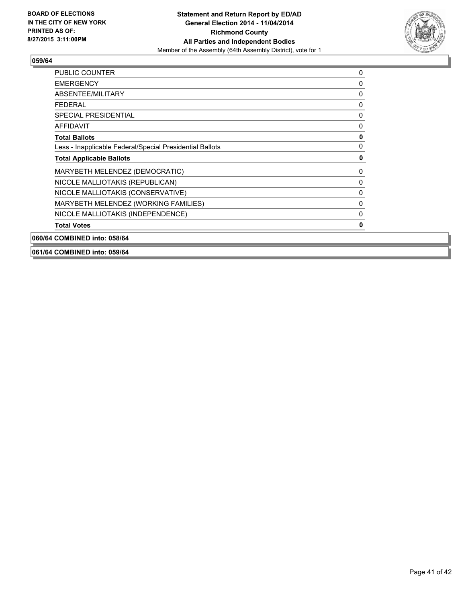

| <b>PUBLIC COUNTER</b>                                    | 0 |
|----------------------------------------------------------|---|
| <b>EMERGENCY</b>                                         | 0 |
| ABSENTEE/MILITARY                                        | 0 |
| <b>FEDERAL</b>                                           | 0 |
| <b>SPECIAL PRESIDENTIAL</b>                              | 0 |
| <b>AFFIDAVIT</b>                                         | 0 |
| <b>Total Ballots</b>                                     | 0 |
| Less - Inapplicable Federal/Special Presidential Ballots | 0 |
| <b>Total Applicable Ballots</b>                          | 0 |
| MARYBETH MELENDEZ (DEMOCRATIC)                           | 0 |
| NICOLE MALLIOTAKIS (REPUBLICAN)                          | 0 |
| NICOLE MALLIOTAKIS (CONSERVATIVE)                        | 0 |
| MARYBETH MELENDEZ (WORKING FAMILIES)                     | 0 |
| NICOLE MALLIOTAKIS (INDEPENDENCE)                        | 0 |
| <b>Total Votes</b>                                       | 0 |
| 060/64 COMBINED into: 058/64                             |   |

**061/64 COMBINED into: 059/64**